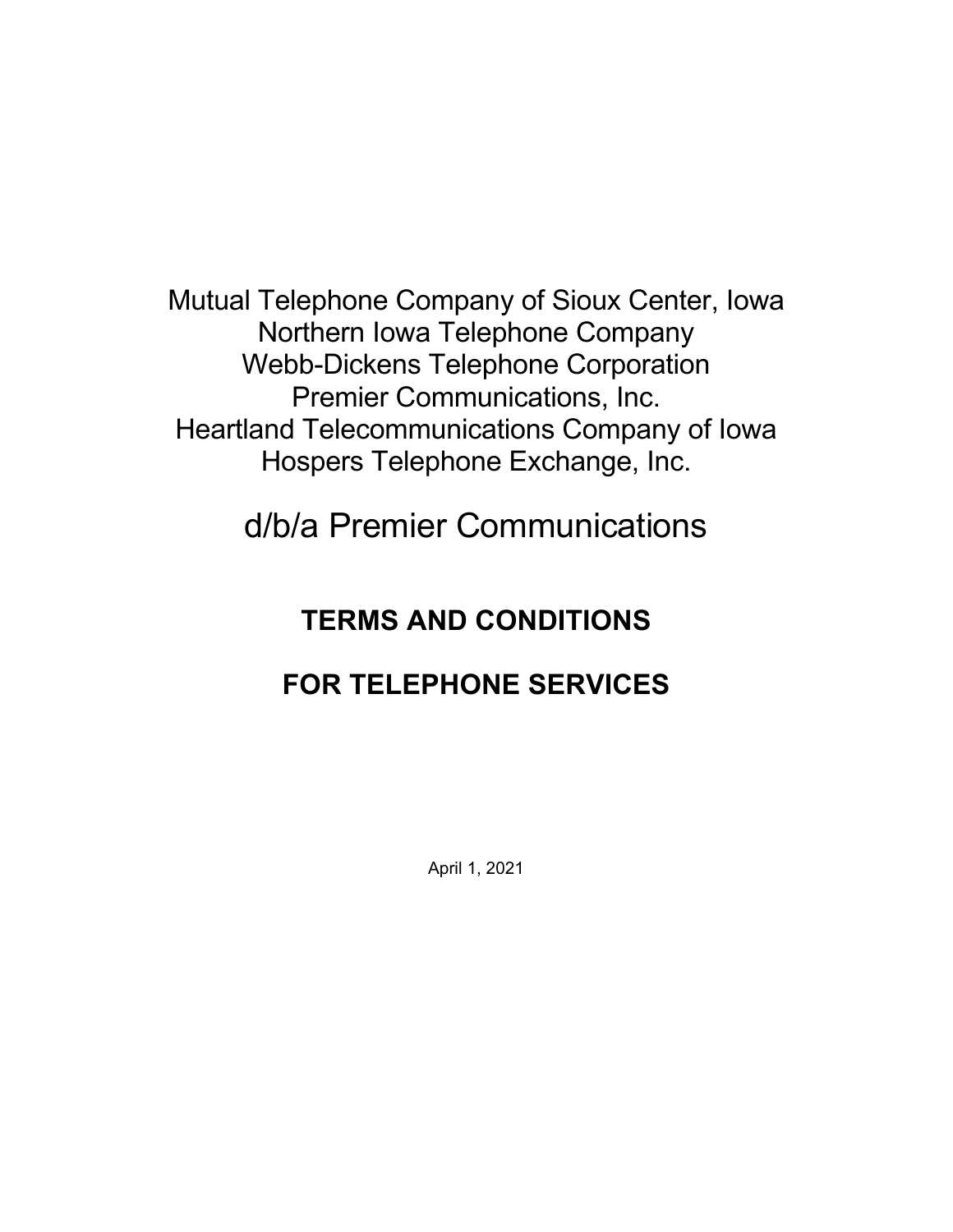Mutual Telephone Company of Sioux Center, Iowa Northern Iowa Telephone Company Webb-Dickens Telephone Corporation Premier Communications, Inc. Heartland Telecommunications Company of Iowa Hospers Telephone Exchange, Inc.

d/b/a Premier Communications

# **TERMS AND CONDITIONS**

# **FOR TELEPHONE SERVICES**

April 1, 2021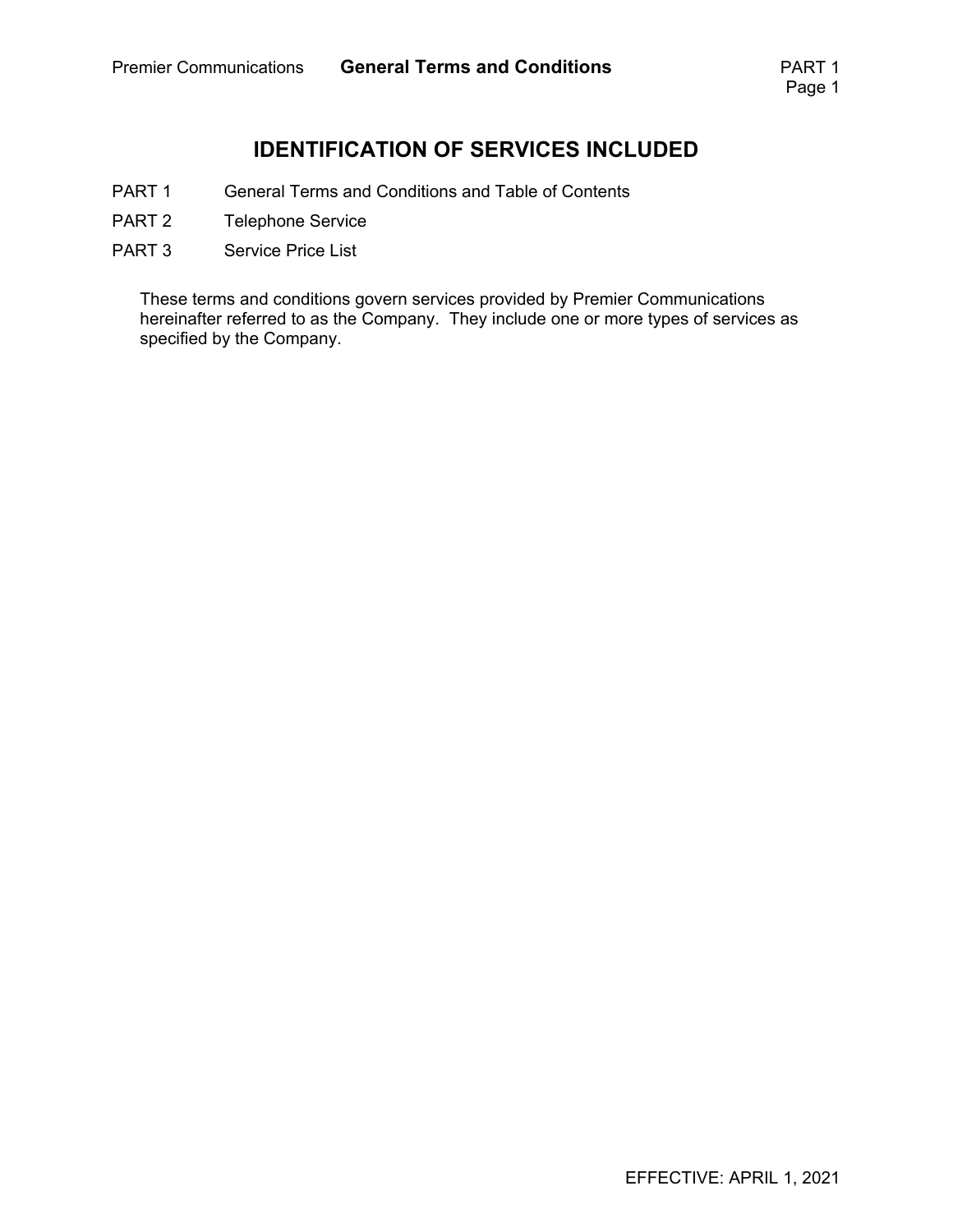### **IDENTIFICATION OF SERVICES INCLUDED**

- PART 1 General Terms and Conditions and Table of Contents
- PART 2 Telephone Service
- PART 3 Service Price List

These terms and conditions govern services provided by Premier Communications hereinafter referred to as the Company. They include one or more types of services as specified by the Company.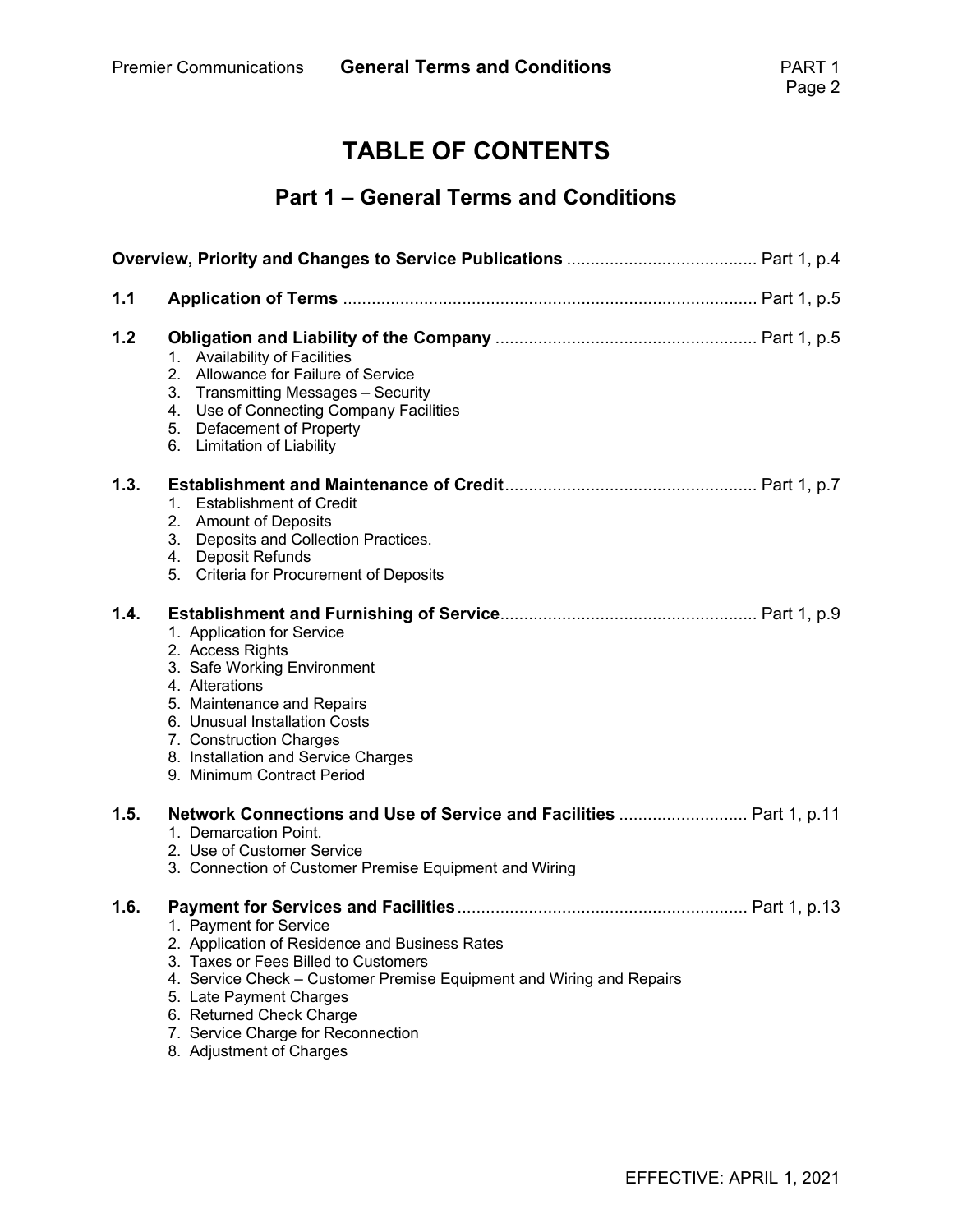## **TABLE OF CONTENTS**

### **Part 1 – General Terms and Conditions**

| 1.1  |                                                                                                                                                                                                                                                                                                                   |
|------|-------------------------------------------------------------------------------------------------------------------------------------------------------------------------------------------------------------------------------------------------------------------------------------------------------------------|
| 1.2  | <b>Availability of Facilities</b><br>1.<br>2.<br>Allowance for Failure of Service<br>3. Transmitting Messages - Security<br>4. Use of Connecting Company Facilities<br>5. Defacement of Property<br>6. Limitation of Liability                                                                                    |
| 1.3. | <b>Establishment of Credit</b><br>1.<br>2. Amount of Deposits<br>3. Deposits and Collection Practices.<br>4. Deposit Refunds<br>5. Criteria for Procurement of Deposits                                                                                                                                           |
| 1.4. | 1. Application for Service<br>2. Access Rights<br>3. Safe Working Environment<br>4. Alterations<br>5. Maintenance and Repairs<br>6. Unusual Installation Costs<br>7. Construction Charges<br>8. Installation and Service Charges<br>9. Minimum Contract Period                                                    |
| 1.5. | Network Connections and Use of Service and Facilities  Part 1, p.11<br>1. Demarcation Point.<br>2. Use of Customer Service<br>3. Connection of Customer Premise Equipment and Wiring                                                                                                                              |
| 1.6. | 1. Payment for Service<br>2. Application of Residence and Business Rates<br>3. Taxes or Fees Billed to Customers<br>4. Service Check – Customer Premise Equipment and Wiring and Repairs<br>5. Late Payment Charges<br>6. Returned Check Charge<br>7. Service Charge for Reconnection<br>8. Adjustment of Charges |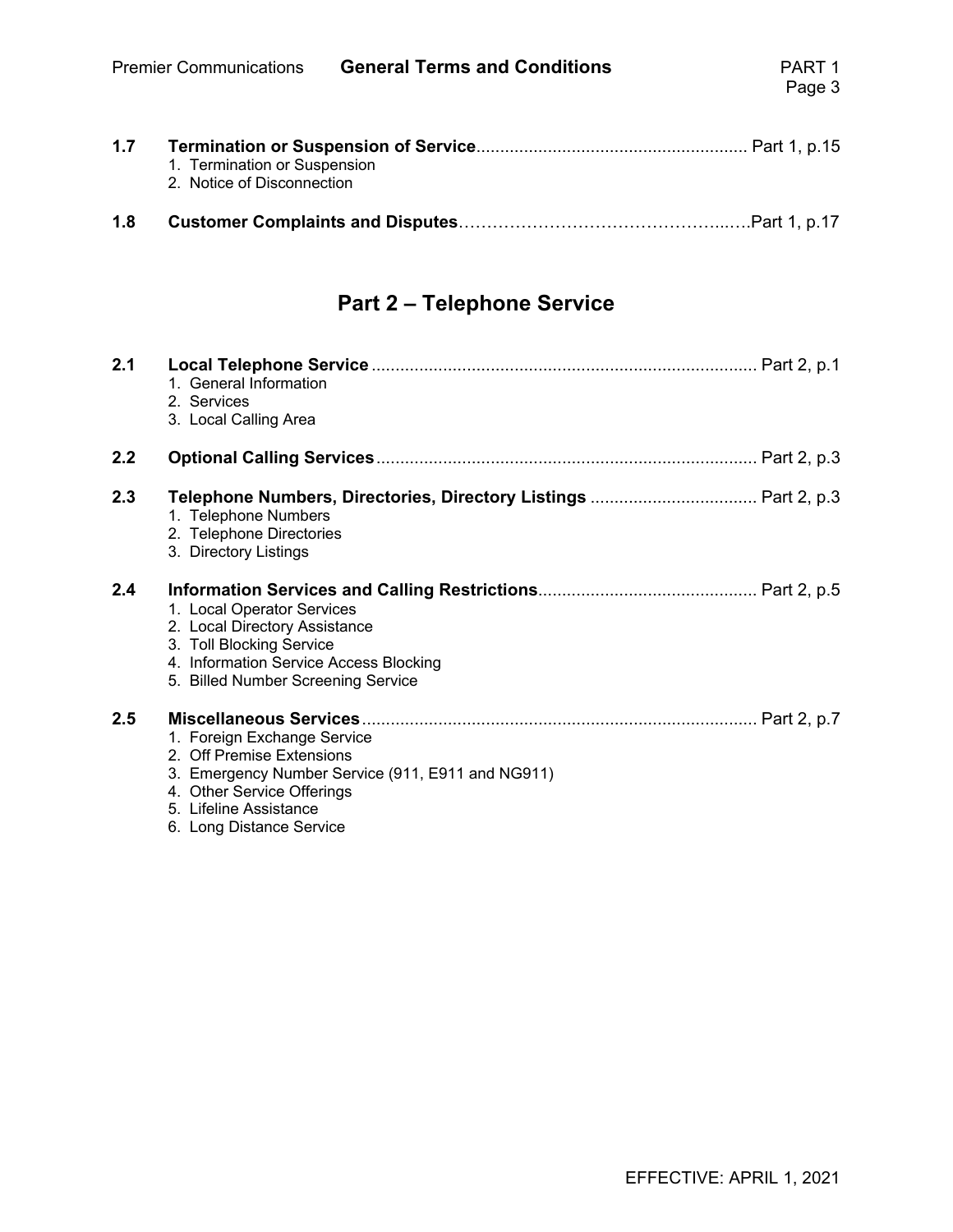| 1.7 | 1. Termination or Suspension |  |
|-----|------------------------------|--|
|     | 2. Notice of Disconnection   |  |
| 1.8 |                              |  |

## **Part 2 – Telephone Service**

| 2.1 | 1. General Information<br>2. Services<br>3. Local Calling Area                                                                                                                                    |
|-----|---------------------------------------------------------------------------------------------------------------------------------------------------------------------------------------------------|
| 2.2 |                                                                                                                                                                                                   |
| 2.3 | 1. Telephone Numbers<br>2. Telephone Directories<br>3. Directory Listings                                                                                                                         |
| 2.4 | 1. Local Operator Services<br>2. Local Directory Assistance<br>3. Toll Blocking Service<br>4. Information Service Access Blocking<br>5. Billed Number Screening Service                           |
| 2.5 | 1. Foreign Exchange Service<br>2. Off Premise Extensions<br>3. Emergency Number Service (911, E911 and NG911)<br>4. Other Service Offerings<br>5. Lifeline Assistance<br>6. Long Distance Service |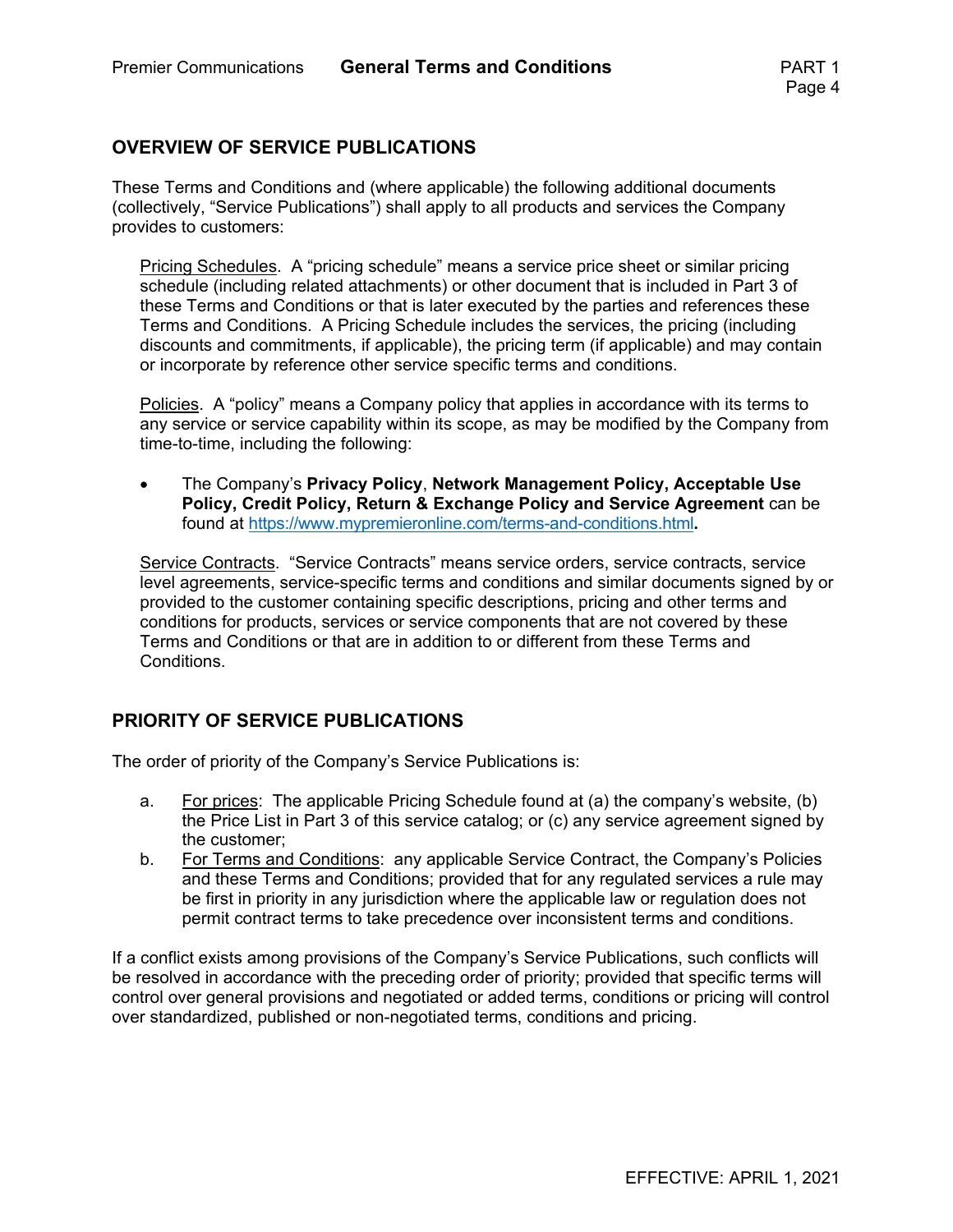#### **OVERVIEW OF SERVICE PUBLICATIONS**

These Terms and Conditions and (where applicable) the following additional documents (collectively, "Service Publications") shall apply to all products and services the Company provides to customers:

Pricing Schedules. A "pricing schedule" means a service price sheet or similar pricing schedule (including related attachments) or other document that is included in Part 3 of these Terms and Conditions or that is later executed by the parties and references these Terms and Conditions. A Pricing Schedule includes the services, the pricing (including discounts and commitments, if applicable), the pricing term (if applicable) and may contain or incorporate by reference other service specific terms and conditions.

Policies. A "policy" means a Company policy that applies in accordance with its terms to any service or service capability within its scope, as may be modified by the Company from time-to-time, including the following:

 The Company's **Privacy Policy**, **Network Management Policy, Acceptable Use Policy, Credit Policy, Return & Exchange Policy and Service Agreement** can be found at https://www.mypremieronline.com/terms-and-conditions.html**.**

Service Contracts. "Service Contracts" means service orders, service contracts, service level agreements, service-specific terms and conditions and similar documents signed by or provided to the customer containing specific descriptions, pricing and other terms and conditions for products, services or service components that are not covered by these Terms and Conditions or that are in addition to or different from these Terms and Conditions.

#### **PRIORITY OF SERVICE PUBLICATIONS**

The order of priority of the Company's Service Publications is:

- a. For prices: The applicable Pricing Schedule found at (a) the company's website, (b) the Price List in Part 3 of this service catalog; or (c) any service agreement signed by the customer;
- b. For Terms and Conditions: any applicable Service Contract, the Company's Policies and these Terms and Conditions; provided that for any regulated services a rule may be first in priority in any jurisdiction where the applicable law or regulation does not permit contract terms to take precedence over inconsistent terms and conditions.

If a conflict exists among provisions of the Company's Service Publications, such conflicts will be resolved in accordance with the preceding order of priority; provided that specific terms will control over general provisions and negotiated or added terms, conditions or pricing will control over standardized, published or non-negotiated terms, conditions and pricing.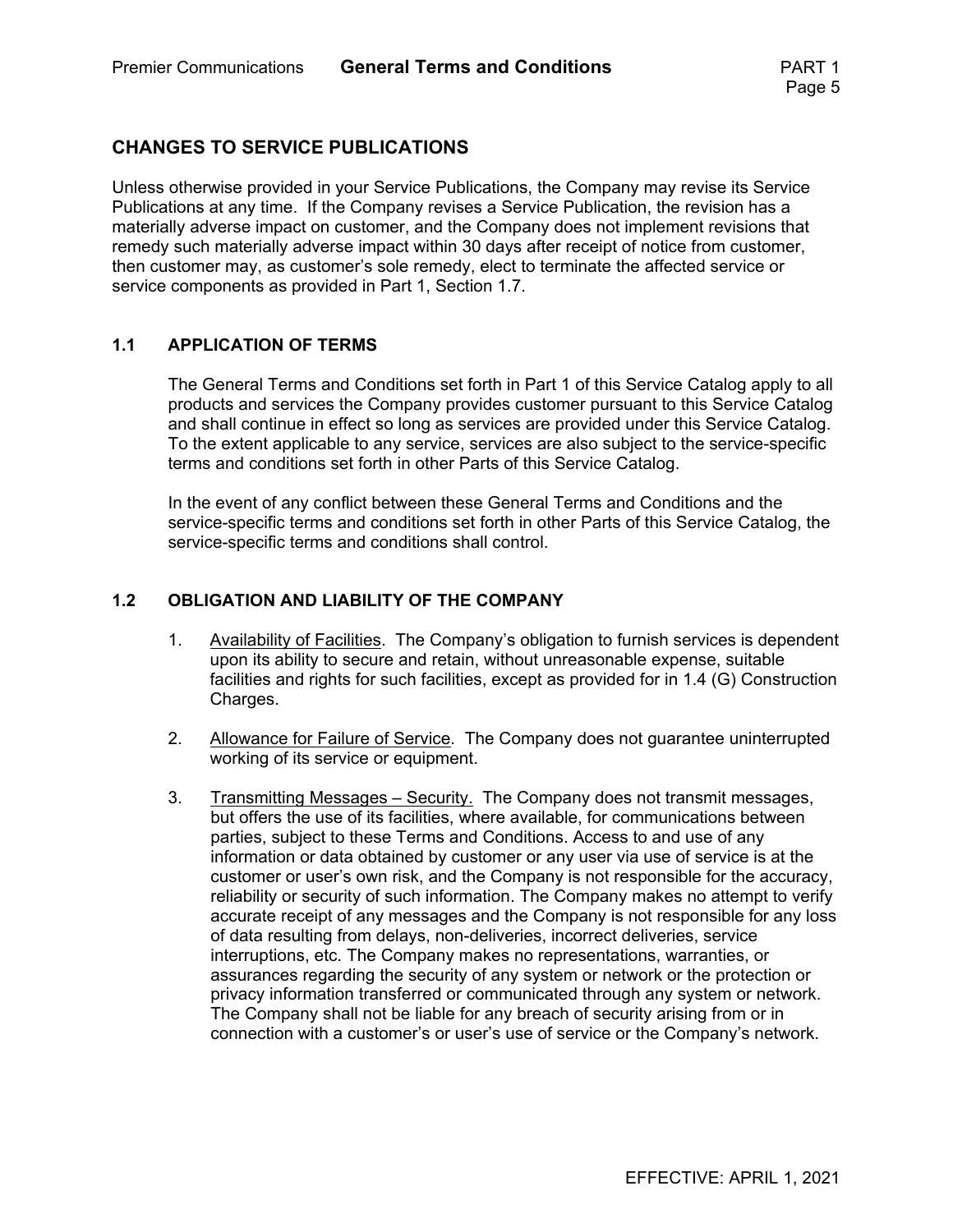#### **CHANGES TO SERVICE PUBLICATIONS**

Unless otherwise provided in your Service Publications, the Company may revise its Service Publications at any time. If the Company revises a Service Publication, the revision has a materially adverse impact on customer, and the Company does not implement revisions that remedy such materially adverse impact within 30 days after receipt of notice from customer, then customer may, as customer's sole remedy, elect to terminate the affected service or service components as provided in Part 1, Section 1.7.

#### **1.1 APPLICATION OF TERMS**

The General Terms and Conditions set forth in Part 1 of this Service Catalog apply to all products and services the Company provides customer pursuant to this Service Catalog and shall continue in effect so long as services are provided under this Service Catalog. To the extent applicable to any service, services are also subject to the service-specific terms and conditions set forth in other Parts of this Service Catalog.

In the event of any conflict between these General Terms and Conditions and the service-specific terms and conditions set forth in other Parts of this Service Catalog, the service-specific terms and conditions shall control.

#### **1.2 OBLIGATION AND LIABILITY OF THE COMPANY**

- 1. Availability of Facilities. The Company's obligation to furnish services is dependent upon its ability to secure and retain, without unreasonable expense, suitable facilities and rights for such facilities, except as provided for in 1.4 (G) Construction Charges.
- 2. Allowance for Failure of Service. The Company does not guarantee uninterrupted working of its service or equipment.
- 3. Transmitting Messages Security. The Company does not transmit messages, but offers the use of its facilities, where available, for communications between parties, subject to these Terms and Conditions. Access to and use of any information or data obtained by customer or any user via use of service is at the customer or user's own risk, and the Company is not responsible for the accuracy, reliability or security of such information. The Company makes no attempt to verify accurate receipt of any messages and the Company is not responsible for any loss of data resulting from delays, non-deliveries, incorrect deliveries, service interruptions, etc. The Company makes no representations, warranties, or assurances regarding the security of any system or network or the protection or privacy information transferred or communicated through any system or network. The Company shall not be liable for any breach of security arising from or in connection with a customer's or user's use of service or the Company's network.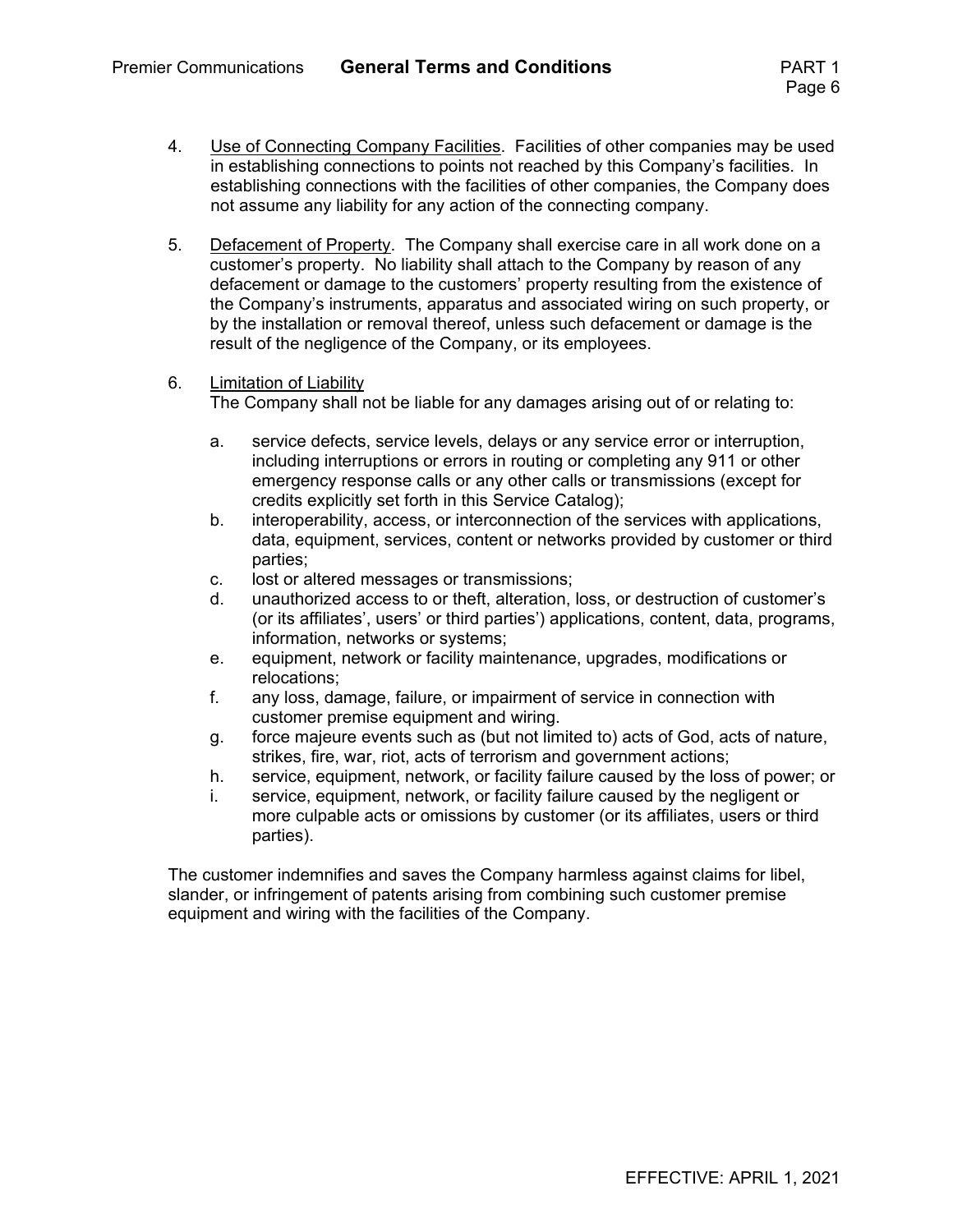- 4. Use of Connecting Company Facilities. Facilities of other companies may be used in establishing connections to points not reached by this Company's facilities. In establishing connections with the facilities of other companies, the Company does not assume any liability for any action of the connecting company.
- 5. Defacement of Property. The Company shall exercise care in all work done on a customer's property. No liability shall attach to the Company by reason of any defacement or damage to the customers' property resulting from the existence of the Company's instruments, apparatus and associated wiring on such property, or by the installation or removal thereof, unless such defacement or damage is the result of the negligence of the Company, or its employees.
- 6. Limitation of Liability The Company shall not be liable for any damages arising out of or relating to:
	- a. service defects, service levels, delays or any service error or interruption, including interruptions or errors in routing or completing any 911 or other emergency response calls or any other calls or transmissions (except for credits explicitly set forth in this Service Catalog);
	- b. interoperability, access, or interconnection of the services with applications, data, equipment, services, content or networks provided by customer or third parties;
	- c. lost or altered messages or transmissions;
	- d. unauthorized access to or theft, alteration, loss, or destruction of customer's (or its affiliates', users' or third parties') applications, content, data, programs, information, networks or systems;
	- e. equipment, network or facility maintenance, upgrades, modifications or relocations;
	- f. any loss, damage, failure, or impairment of service in connection with customer premise equipment and wiring.
	- g. force majeure events such as (but not limited to) acts of God, acts of nature, strikes, fire, war, riot, acts of terrorism and government actions;
	- h. service, equipment, network, or facility failure caused by the loss of power; or
	- i. service, equipment, network, or facility failure caused by the negligent or more culpable acts or omissions by customer (or its affiliates, users or third parties).

The customer indemnifies and saves the Company harmless against claims for libel, slander, or infringement of patents arising from combining such customer premise equipment and wiring with the facilities of the Company.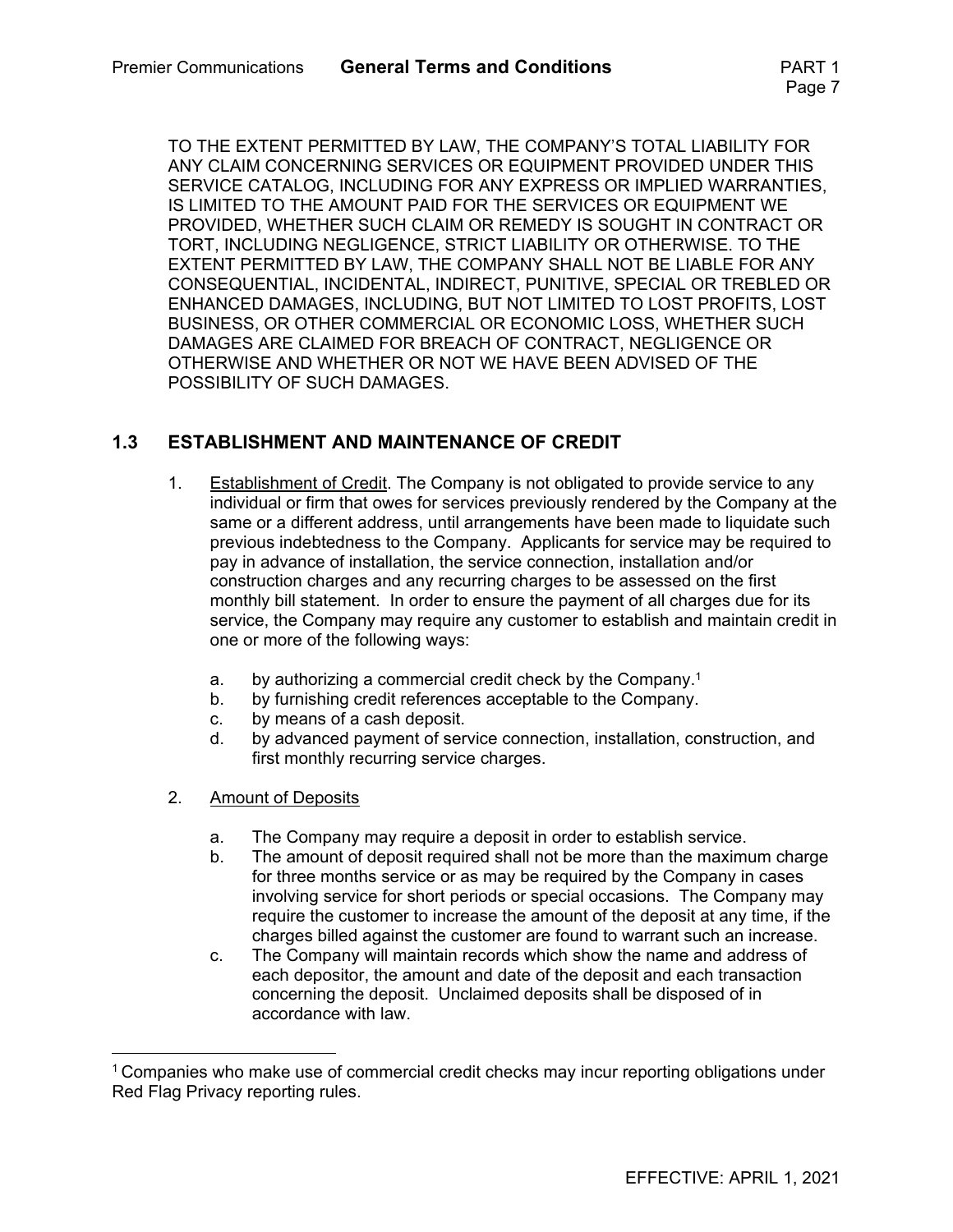TO THE EXTENT PERMITTED BY LAW, THE COMPANY'S TOTAL LIABILITY FOR ANY CLAIM CONCERNING SERVICES OR EQUIPMENT PROVIDED UNDER THIS SERVICE CATALOG, INCLUDING FOR ANY EXPRESS OR IMPLIED WARRANTIES, IS LIMITED TO THE AMOUNT PAID FOR THE SERVICES OR EQUIPMENT WE PROVIDED, WHETHER SUCH CLAIM OR REMEDY IS SOUGHT IN CONTRACT OR TORT, INCLUDING NEGLIGENCE, STRICT LIABILITY OR OTHERWISE. TO THE EXTENT PERMITTED BY LAW, THE COMPANY SHALL NOT BE LIABLE FOR ANY CONSEQUENTIAL, INCIDENTAL, INDIRECT, PUNITIVE, SPECIAL OR TREBLED OR ENHANCED DAMAGES, INCLUDING, BUT NOT LIMITED TO LOST PROFITS, LOST BUSINESS, OR OTHER COMMERCIAL OR ECONOMIC LOSS, WHETHER SUCH DAMAGES ARE CLAIMED FOR BREACH OF CONTRACT, NEGLIGENCE OR OTHERWISE AND WHETHER OR NOT WE HAVE BEEN ADVISED OF THE POSSIBILITY OF SUCH DAMAGES.

#### **1.3 ESTABLISHMENT AND MAINTENANCE OF CREDIT**

- 1. Establishment of Credit. The Company is not obligated to provide service to any individual or firm that owes for services previously rendered by the Company at the same or a different address, until arrangements have been made to liquidate such previous indebtedness to the Company. Applicants for service may be required to pay in advance of installation, the service connection, installation and/or construction charges and any recurring charges to be assessed on the first monthly bill statement. In order to ensure the payment of all charges due for its service, the Company may require any customer to establish and maintain credit in one or more of the following ways:
	- a. by authorizing a commercial credit check by the Company.1
	- b. by furnishing credit references acceptable to the Company.
	- c. by means of a cash deposit.
	- d. by advanced payment of service connection, installation, construction, and first monthly recurring service charges.
- 2. Amount of Deposits
	- a. The Company may require a deposit in order to establish service.
	- b. The amount of deposit required shall not be more than the maximum charge for three months service or as may be required by the Company in cases involving service for short periods or special occasions. The Company may require the customer to increase the amount of the deposit at any time, if the charges billed against the customer are found to warrant such an increase.
	- c. The Company will maintain records which show the name and address of each depositor, the amount and date of the deposit and each transaction concerning the deposit. Unclaimed deposits shall be disposed of in accordance with law.

 $1$  Companies who make use of commercial credit checks may incur reporting obligations under Red Flag Privacy reporting rules.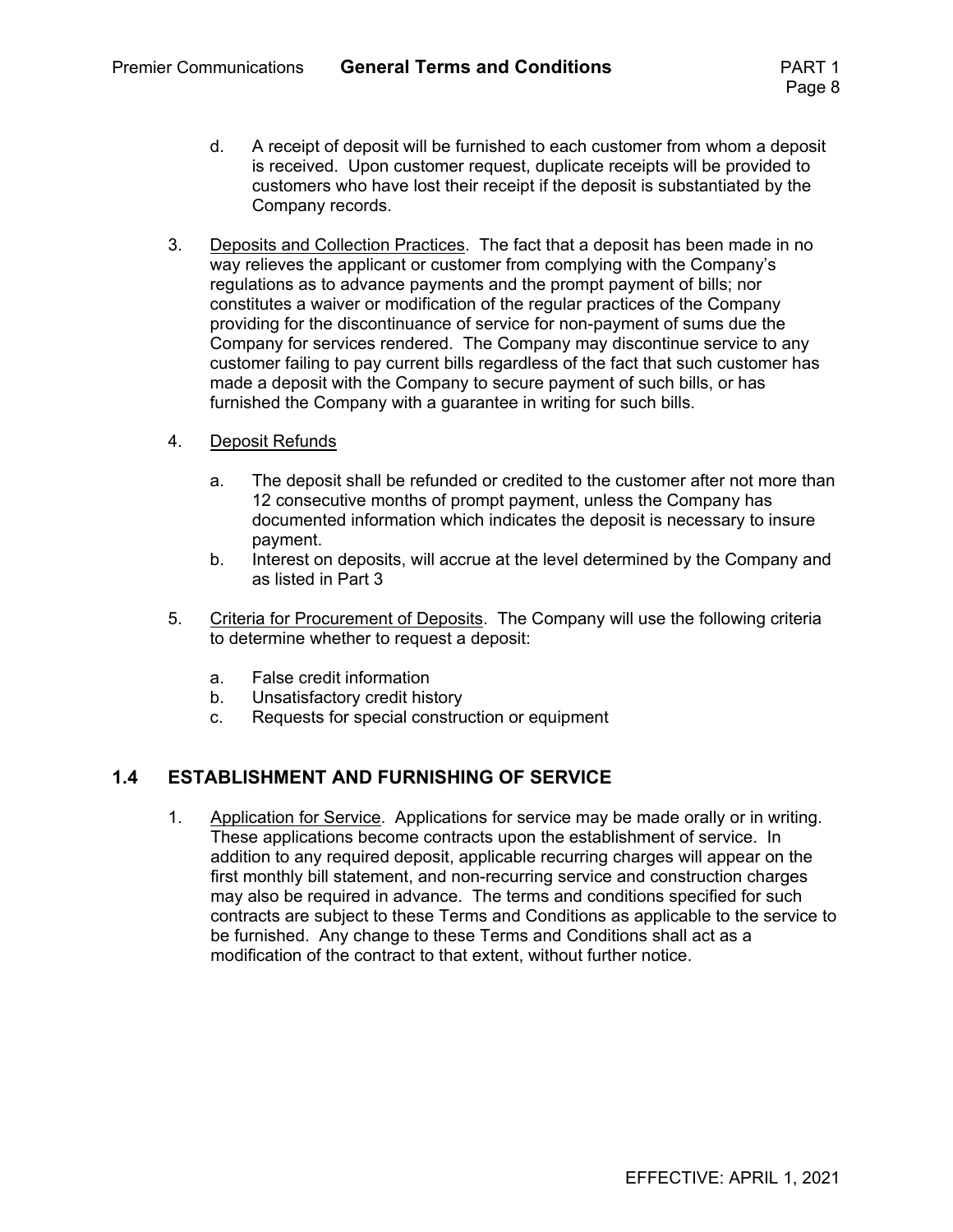- d. A receipt of deposit will be furnished to each customer from whom a deposit is received. Upon customer request, duplicate receipts will be provided to customers who have lost their receipt if the deposit is substantiated by the Company records.
- 3. Deposits and Collection Practices. The fact that a deposit has been made in no way relieves the applicant or customer from complying with the Company's regulations as to advance payments and the prompt payment of bills; nor constitutes a waiver or modification of the regular practices of the Company providing for the discontinuance of service for non-payment of sums due the Company for services rendered. The Company may discontinue service to any customer failing to pay current bills regardless of the fact that such customer has made a deposit with the Company to secure payment of such bills, or has furnished the Company with a guarantee in writing for such bills.
- 4. Deposit Refunds
	- a. The deposit shall be refunded or credited to the customer after not more than 12 consecutive months of prompt payment, unless the Company has documented information which indicates the deposit is necessary to insure payment.
	- b. Interest on deposits, will accrue at the level determined by the Company and as listed in Part 3
- 5. Criteria for Procurement of Deposits. The Company will use the following criteria to determine whether to request a deposit:
	- a. False credit information
	- b. Unsatisfactory credit history
	- c. Requests for special construction or equipment

#### **1.4 ESTABLISHMENT AND FURNISHING OF SERVICE**

1. Application for Service. Applications for service may be made orally or in writing. These applications become contracts upon the establishment of service. In addition to any required deposit, applicable recurring charges will appear on the first monthly bill statement, and non-recurring service and construction charges may also be required in advance. The terms and conditions specified for such contracts are subject to these Terms and Conditions as applicable to the service to be furnished. Any change to these Terms and Conditions shall act as a modification of the contract to that extent, without further notice.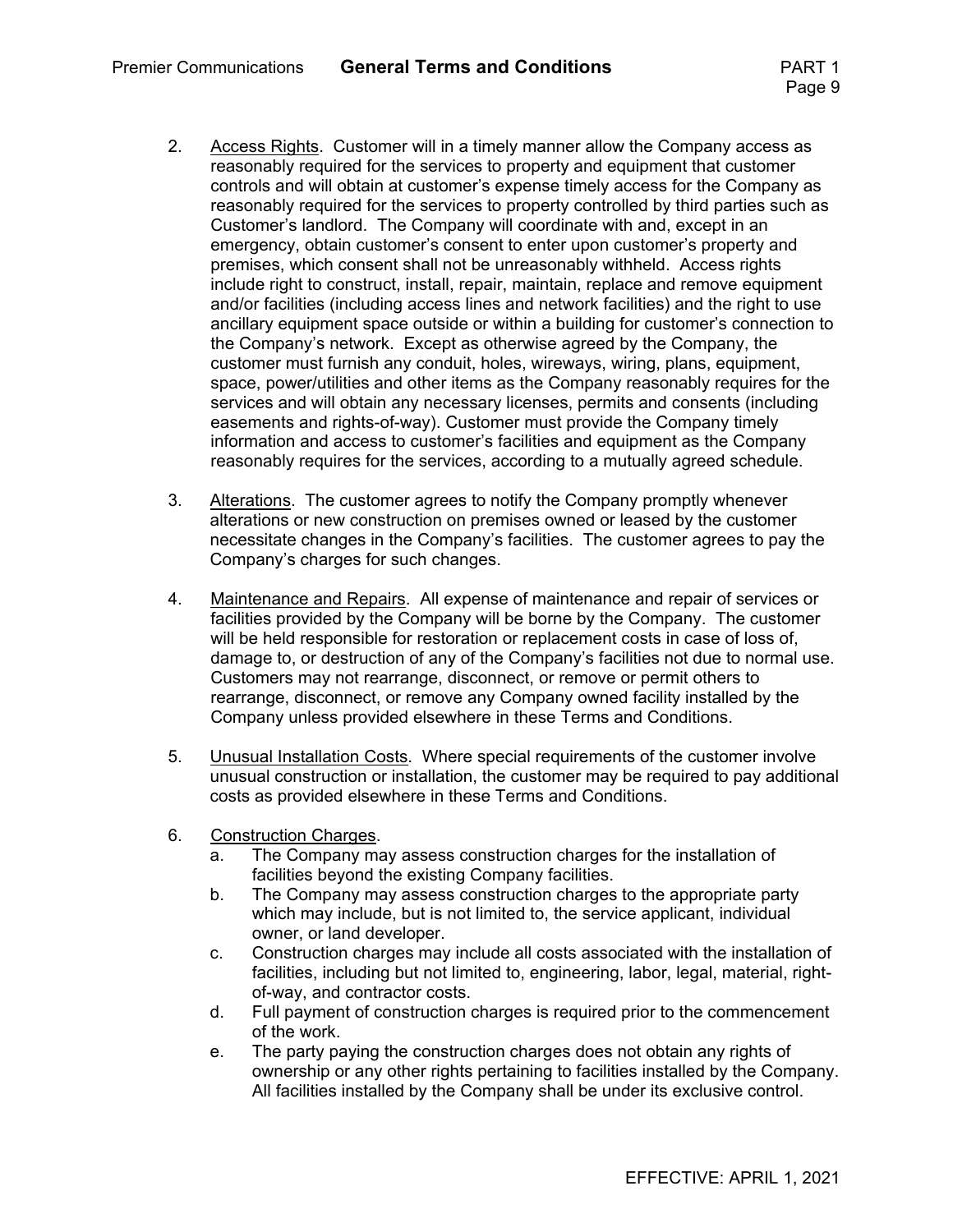- 2. Access Rights. Customer will in a timely manner allow the Company access as reasonably required for the services to property and equipment that customer controls and will obtain at customer's expense timely access for the Company as reasonably required for the services to property controlled by third parties such as Customer's landlord. The Company will coordinate with and, except in an emergency, obtain customer's consent to enter upon customer's property and premises, which consent shall not be unreasonably withheld. Access rights include right to construct, install, repair, maintain, replace and remove equipment and/or facilities (including access lines and network facilities) and the right to use ancillary equipment space outside or within a building for customer's connection to the Company's network. Except as otherwise agreed by the Company, the customer must furnish any conduit, holes, wireways, wiring, plans, equipment, space, power/utilities and other items as the Company reasonably requires for the services and will obtain any necessary licenses, permits and consents (including easements and rights-of-way). Customer must provide the Company timely information and access to customer's facilities and equipment as the Company reasonably requires for the services, according to a mutually agreed schedule.
- 3. Alterations. The customer agrees to notify the Company promptly whenever alterations or new construction on premises owned or leased by the customer necessitate changes in the Company's facilities. The customer agrees to pay the Company's charges for such changes.
- 4. Maintenance and Repairs. All expense of maintenance and repair of services or facilities provided by the Company will be borne by the Company. The customer will be held responsible for restoration or replacement costs in case of loss of, damage to, or destruction of any of the Company's facilities not due to normal use. Customers may not rearrange, disconnect, or remove or permit others to rearrange, disconnect, or remove any Company owned facility installed by the Company unless provided elsewhere in these Terms and Conditions.
- 5. Unusual Installation Costs. Where special requirements of the customer involve unusual construction or installation, the customer may be required to pay additional costs as provided elsewhere in these Terms and Conditions.
- 6. Construction Charges.
	- a. The Company may assess construction charges for the installation of facilities beyond the existing Company facilities.
	- b. The Company may assess construction charges to the appropriate party which may include, but is not limited to, the service applicant, individual owner, or land developer.
	- c. Construction charges may include all costs associated with the installation of facilities, including but not limited to, engineering, labor, legal, material, rightof-way, and contractor costs.
	- d. Full payment of construction charges is required prior to the commencement of the work.
	- e. The party paying the construction charges does not obtain any rights of ownership or any other rights pertaining to facilities installed by the Company. All facilities installed by the Company shall be under its exclusive control.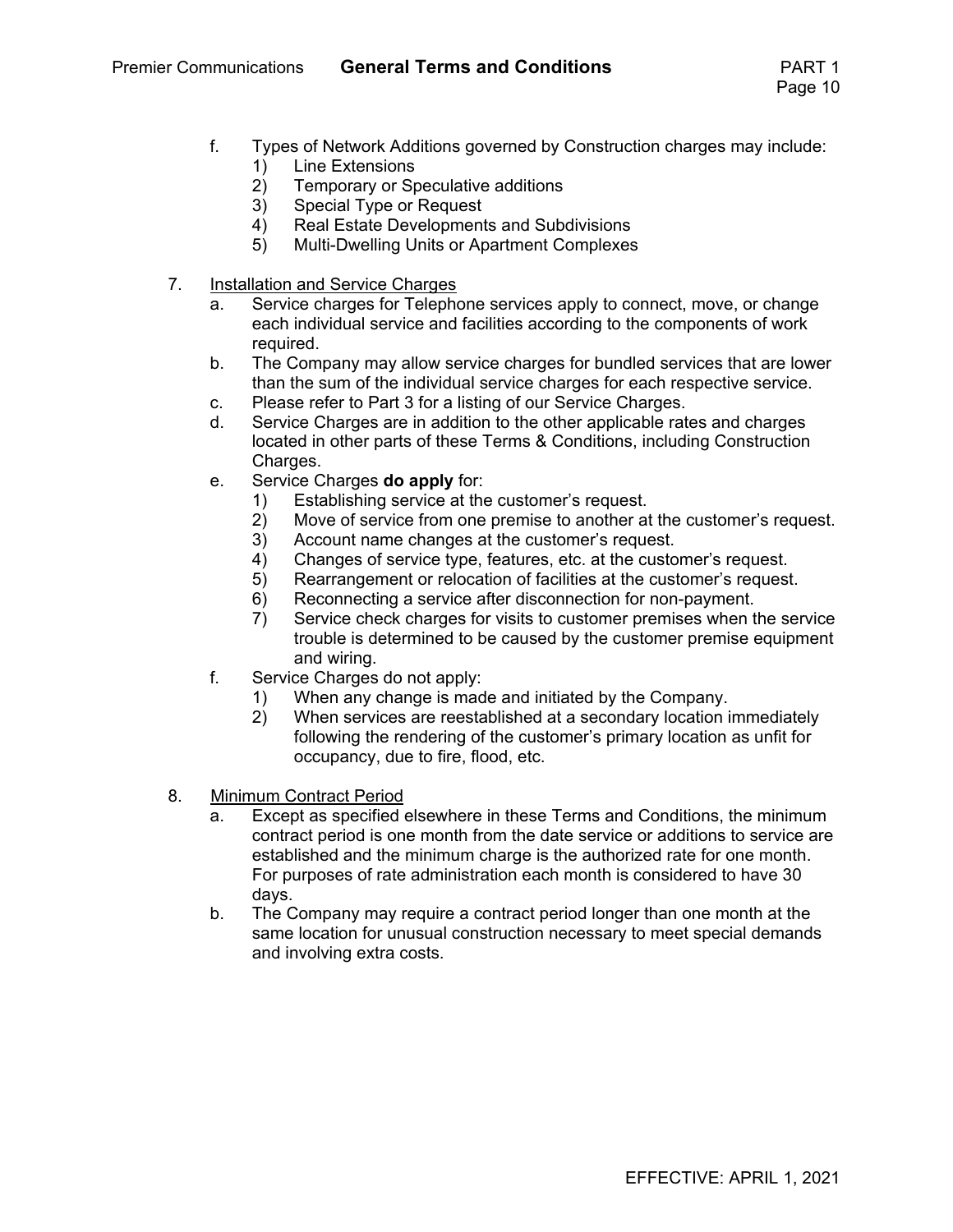- f. Types of Network Additions governed by Construction charges may include:
	- 1) Line Extensions
	- 2) Temporary or Speculative additions<br>3) Special Type or Request
	- Special Type or Request
	- 4) Real Estate Developments and Subdivisions
	- 5) Multi-Dwelling Units or Apartment Complexes
- 7. Installation and Service Charges
	- a. Service charges for Telephone services apply to connect, move, or change each individual service and facilities according to the components of work required.
	- b. The Company may allow service charges for bundled services that are lower than the sum of the individual service charges for each respective service.
	- c. Please refer to Part 3 for a listing of our Service Charges.
	- d. Service Charges are in addition to the other applicable rates and charges located in other parts of these Terms & Conditions, including Construction Charges.
	- e. Service Charges **do apply** for:
		- 1) Establishing service at the customer's request.
		- 2) Move of service from one premise to another at the customer's request.
		- 3) Account name changes at the customer's request.
		- 4) Changes of service type, features, etc. at the customer's request.
		- 5) Rearrangement or relocation of facilities at the customer's request.
		- 6) Reconnecting a service after disconnection for non-payment.
		- 7) Service check charges for visits to customer premises when the service trouble is determined to be caused by the customer premise equipment and wiring.
	- f. Service Charges do not apply:
		- 1) When any change is made and initiated by the Company.
		- 2) When services are reestablished at a secondary location immediately following the rendering of the customer's primary location as unfit for occupancy, due to fire, flood, etc.
- 8. Minimum Contract Period
	- a. Except as specified elsewhere in these Terms and Conditions, the minimum contract period is one month from the date service or additions to service are established and the minimum charge is the authorized rate for one month. For purposes of rate administration each month is considered to have 30 days.
	- b. The Company may require a contract period longer than one month at the same location for unusual construction necessary to meet special demands and involving extra costs.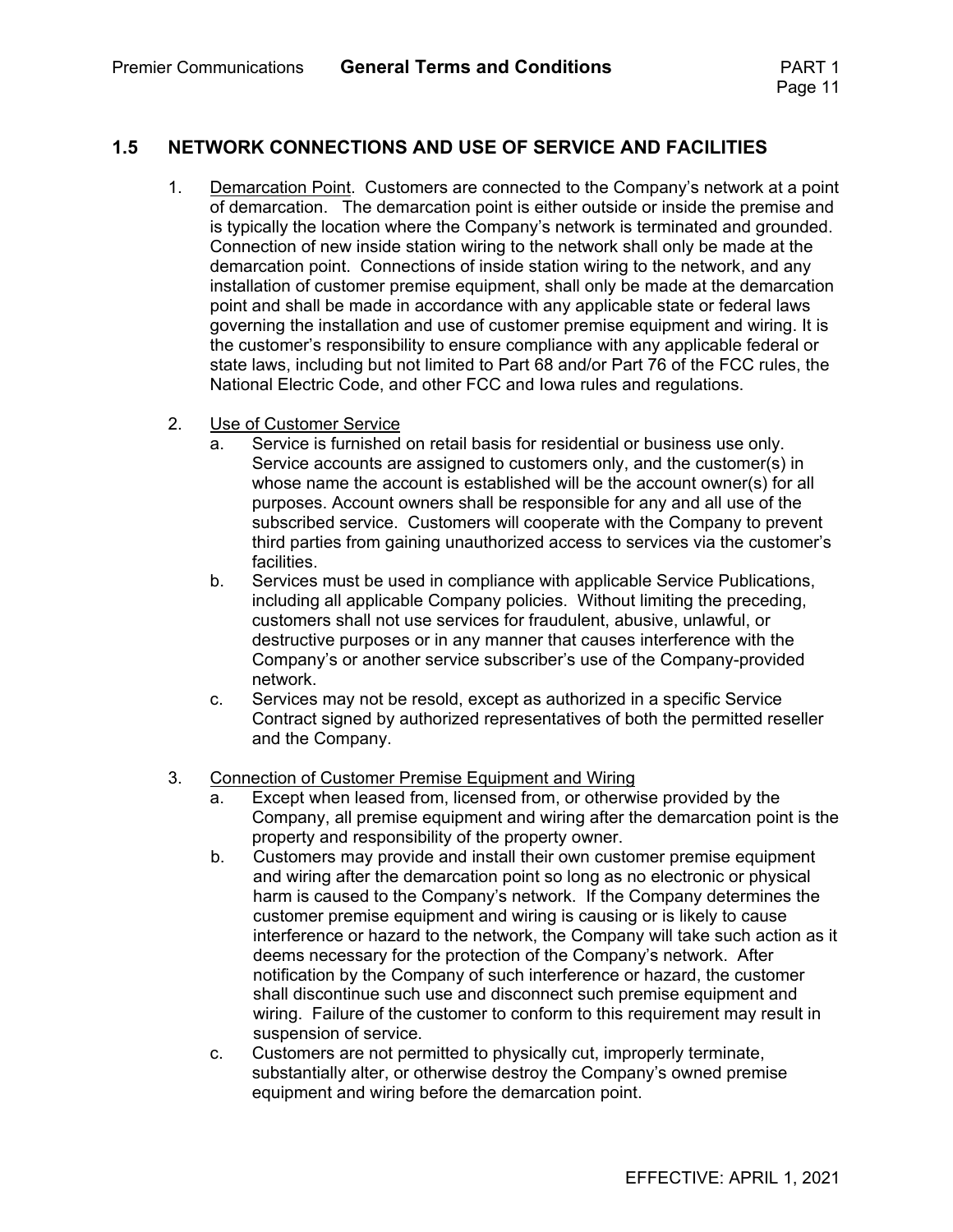#### **1.5 NETWORK CONNECTIONS AND USE OF SERVICE AND FACILITIES**

- 1. Demarcation Point. Customers are connected to the Company's network at a point of demarcation. The demarcation point is either outside or inside the premise and is typically the location where the Company's network is terminated and grounded. Connection of new inside station wiring to the network shall only be made at the demarcation point. Connections of inside station wiring to the network, and any installation of customer premise equipment, shall only be made at the demarcation point and shall be made in accordance with any applicable state or federal laws governing the installation and use of customer premise equipment and wiring. It is the customer's responsibility to ensure compliance with any applicable federal or state laws, including but not limited to Part 68 and/or Part 76 of the FCC rules, the National Electric Code, and other FCC and Iowa rules and regulations.
- 2. Use of Customer Service
	- a. Service is furnished on retail basis for residential or business use only. Service accounts are assigned to customers only, and the customer(s) in whose name the account is established will be the account owner(s) for all purposes. Account owners shall be responsible for any and all use of the subscribed service. Customers will cooperate with the Company to prevent third parties from gaining unauthorized access to services via the customer's **facilities**
	- b. Services must be used in compliance with applicable Service Publications, including all applicable Company policies. Without limiting the preceding, customers shall not use services for fraudulent, abusive, unlawful, or destructive purposes or in any manner that causes interference with the Company's or another service subscriber's use of the Company-provided network.
	- c. Services may not be resold, except as authorized in a specific Service Contract signed by authorized representatives of both the permitted reseller and the Company.

#### 3. Connection of Customer Premise Equipment and Wiring

- a. Except when leased from, licensed from, or otherwise provided by the Company, all premise equipment and wiring after the demarcation point is the property and responsibility of the property owner.
- b. Customers may provide and install their own customer premise equipment and wiring after the demarcation point so long as no electronic or physical harm is caused to the Company's network. If the Company determines the customer premise equipment and wiring is causing or is likely to cause interference or hazard to the network, the Company will take such action as it deems necessary for the protection of the Company's network. After notification by the Company of such interference or hazard, the customer shall discontinue such use and disconnect such premise equipment and wiring. Failure of the customer to conform to this requirement may result in suspension of service.
- c. Customers are not permitted to physically cut, improperly terminate, substantially alter, or otherwise destroy the Company's owned premise equipment and wiring before the demarcation point.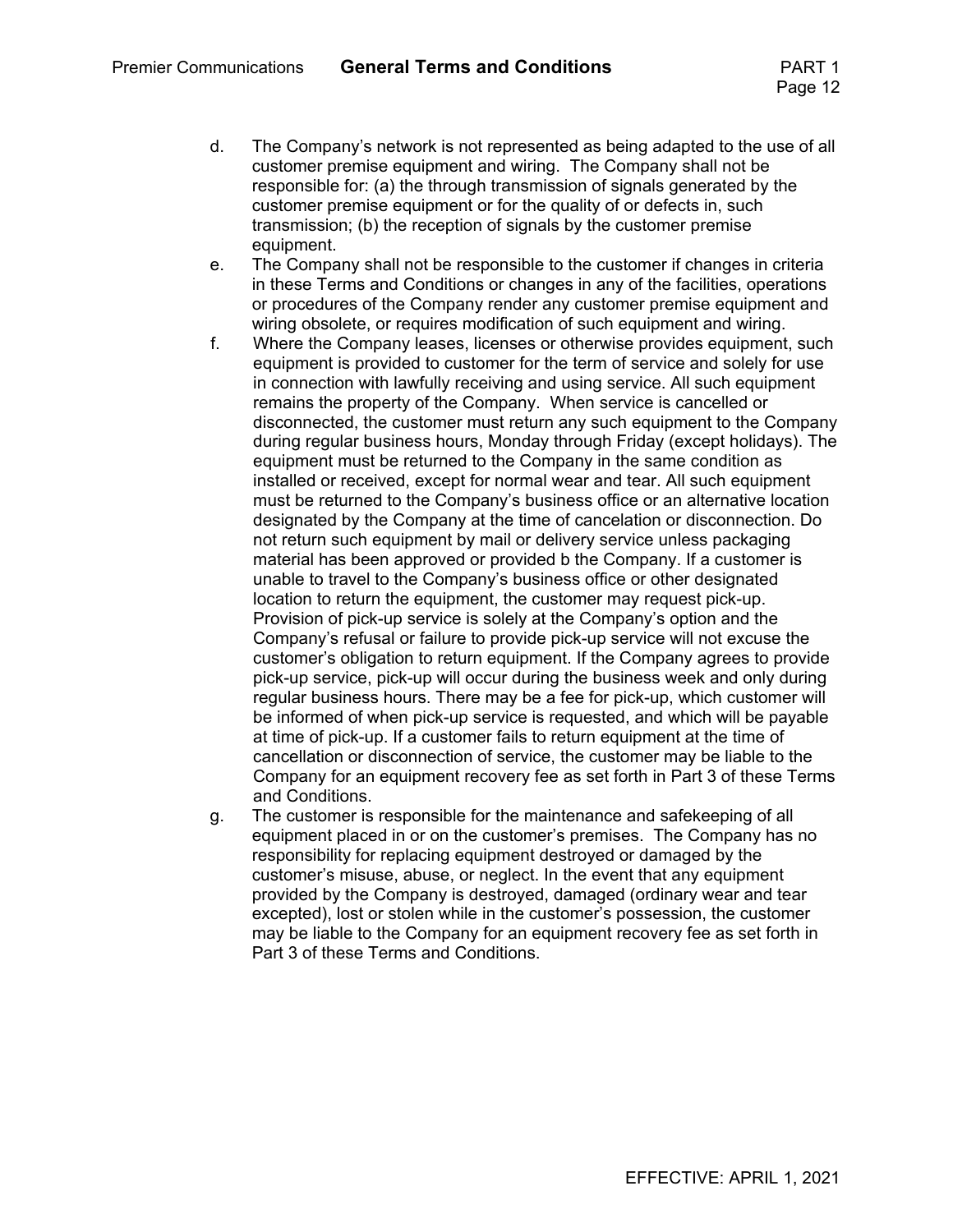- d. The Company's network is not represented as being adapted to the use of all customer premise equipment and wiring. The Company shall not be responsible for: (a) the through transmission of signals generated by the customer premise equipment or for the quality of or defects in, such transmission; (b) the reception of signals by the customer premise equipment.
- e. The Company shall not be responsible to the customer if changes in criteria in these Terms and Conditions or changes in any of the facilities, operations or procedures of the Company render any customer premise equipment and wiring obsolete, or requires modification of such equipment and wiring.
- f. Where the Company leases, licenses or otherwise provides equipment, such equipment is provided to customer for the term of service and solely for use in connection with lawfully receiving and using service. All such equipment remains the property of the Company. When service is cancelled or disconnected, the customer must return any such equipment to the Company during regular business hours, Monday through Friday (except holidays). The equipment must be returned to the Company in the same condition as installed or received, except for normal wear and tear. All such equipment must be returned to the Company's business office or an alternative location designated by the Company at the time of cancelation or disconnection. Do not return such equipment by mail or delivery service unless packaging material has been approved or provided b the Company. If a customer is unable to travel to the Company's business office or other designated location to return the equipment, the customer may request pick-up. Provision of pick-up service is solely at the Company's option and the Company's refusal or failure to provide pick-up service will not excuse the customer's obligation to return equipment. If the Company agrees to provide pick-up service, pick-up will occur during the business week and only during regular business hours. There may be a fee for pick-up, which customer will be informed of when pick-up service is requested, and which will be payable at time of pick-up. If a customer fails to return equipment at the time of cancellation or disconnection of service, the customer may be liable to the Company for an equipment recovery fee as set forth in Part 3 of these Terms and Conditions.
- g. The customer is responsible for the maintenance and safekeeping of all equipment placed in or on the customer's premises. The Company has no responsibility for replacing equipment destroyed or damaged by the customer's misuse, abuse, or neglect. In the event that any equipment provided by the Company is destroyed, damaged (ordinary wear and tear excepted), lost or stolen while in the customer's possession, the customer may be liable to the Company for an equipment recovery fee as set forth in Part 3 of these Terms and Conditions.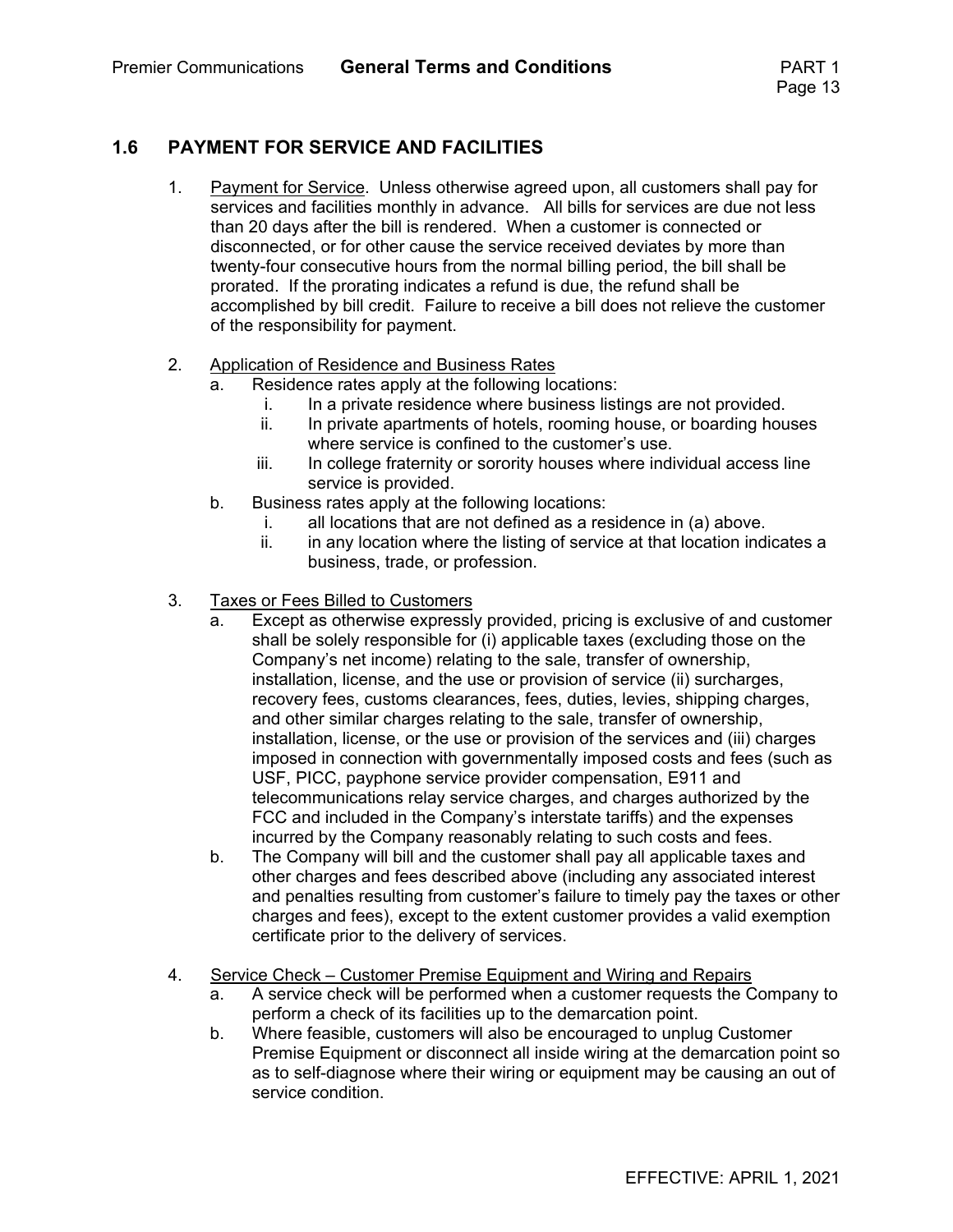#### **1.6 PAYMENT FOR SERVICE AND FACILITIES**

- 1. Payment for Service. Unless otherwise agreed upon, all customers shall pay for services and facilities monthly in advance. All bills for services are due not less than 20 days after the bill is rendered. When a customer is connected or disconnected, or for other cause the service received deviates by more than twenty-four consecutive hours from the normal billing period, the bill shall be prorated. If the prorating indicates a refund is due, the refund shall be accomplished by bill credit. Failure to receive a bill does not relieve the customer of the responsibility for payment.
- 2. Application of Residence and Business Rates
	- a. Residence rates apply at the following locations:
		- i. In a private residence where business listings are not provided.
		- ii. In private apartments of hotels, rooming house, or boarding houses where service is confined to the customer's use.
		- iii. In college fraternity or sorority houses where individual access line service is provided.
	- b. Business rates apply at the following locations:
		- i. all locations that are not defined as a residence in (a) above.
		- ii. in any location where the listing of service at that location indicates a business, trade, or profession.
- 3. Taxes or Fees Billed to Customers
	- a. Except as otherwise expressly provided, pricing is exclusive of and customer shall be solely responsible for (i) applicable taxes (excluding those on the Company's net income) relating to the sale, transfer of ownership, installation, license, and the use or provision of service (ii) surcharges, recovery fees, customs clearances, fees, duties, levies, shipping charges, and other similar charges relating to the sale, transfer of ownership, installation, license, or the use or provision of the services and (iii) charges imposed in connection with governmentally imposed costs and fees (such as USF, PICC, payphone service provider compensation, E911 and telecommunications relay service charges, and charges authorized by the FCC and included in the Company's interstate tariffs) and the expenses incurred by the Company reasonably relating to such costs and fees.
	- b. The Company will bill and the customer shall pay all applicable taxes and other charges and fees described above (including any associated interest and penalties resulting from customer's failure to timely pay the taxes or other charges and fees), except to the extent customer provides a valid exemption certificate prior to the delivery of services.
- 4. Service Check Customer Premise Equipment and Wiring and Repairs
	- a. A service check will be performed when a customer requests the Company to perform a check of its facilities up to the demarcation point.
	- b. Where feasible, customers will also be encouraged to unplug Customer Premise Equipment or disconnect all inside wiring at the demarcation point so as to self-diagnose where their wiring or equipment may be causing an out of service condition.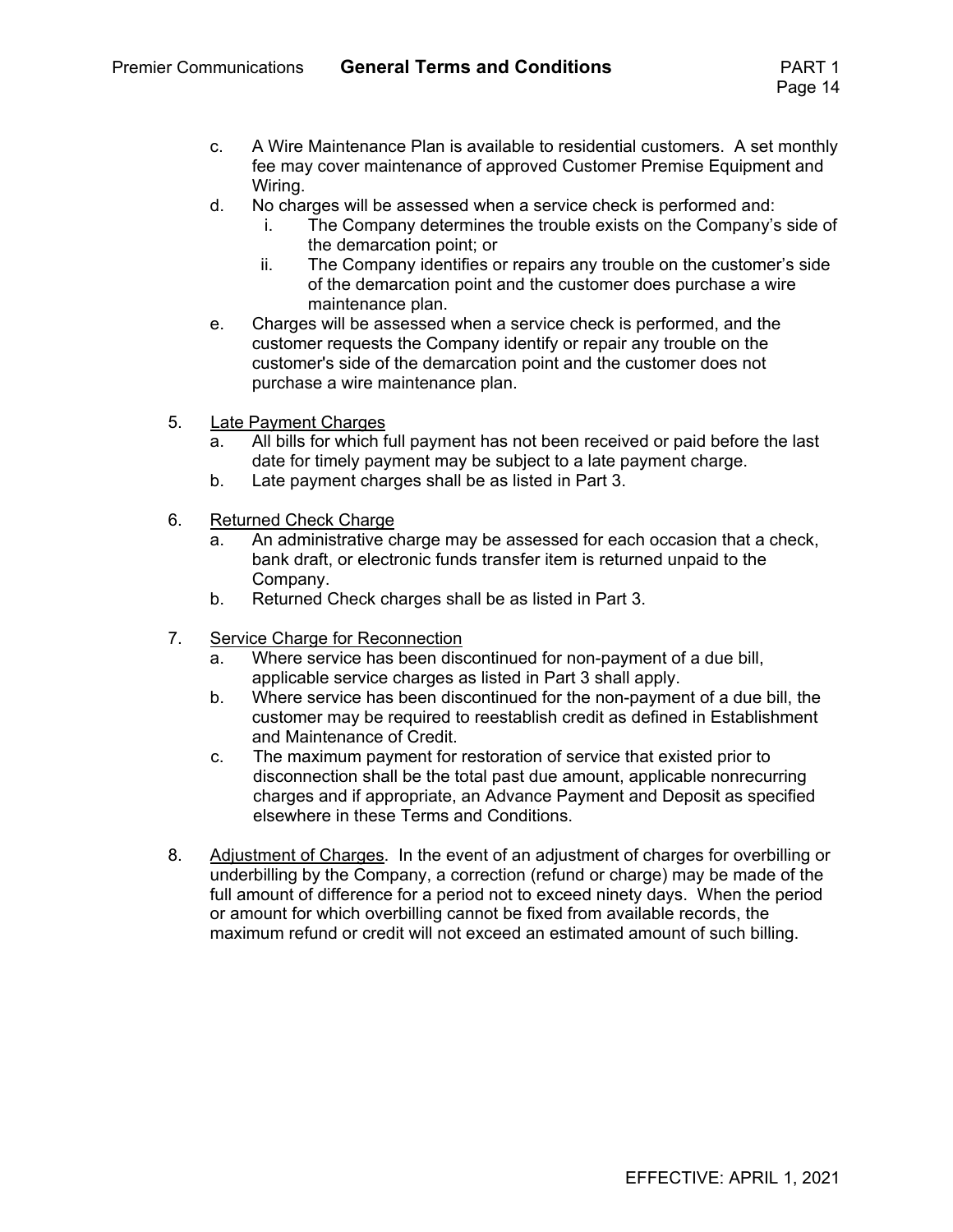- c. A Wire Maintenance Plan is available to residential customers. A set monthly fee may cover maintenance of approved Customer Premise Equipment and Wiring.
- d. No charges will be assessed when a service check is performed and:
	- i. The Company determines the trouble exists on the Company's side of the demarcation point; or
	- ii. The Company identifies or repairs any trouble on the customer's side of the demarcation point and the customer does purchase a wire maintenance plan.
- e. Charges will be assessed when a service check is performed, and the customer requests the Company identify or repair any trouble on the customer's side of the demarcation point and the customer does not purchase a wire maintenance plan.
- 5. Late Payment Charges
	- a. All bills for which full payment has not been received or paid before the last date for timely payment may be subject to a late payment charge.
	- b. Late payment charges shall be as listed in Part 3.
- 6. Returned Check Charge
	- a. An administrative charge may be assessed for each occasion that a check, bank draft, or electronic funds transfer item is returned unpaid to the Company.
	- b. Returned Check charges shall be as listed in Part 3.
- 7. Service Charge for Reconnection
	- a. Where service has been discontinued for non-payment of a due bill, applicable service charges as listed in Part 3 shall apply.
	- b. Where service has been discontinued for the non-payment of a due bill, the customer may be required to reestablish credit as defined in Establishment and Maintenance of Credit.
	- c. The maximum payment for restoration of service that existed prior to disconnection shall be the total past due amount, applicable nonrecurring charges and if appropriate, an Advance Payment and Deposit as specified elsewhere in these Terms and Conditions.
- 8. Adjustment of Charges. In the event of an adjustment of charges for overbilling or underbilling by the Company, a correction (refund or charge) may be made of the full amount of difference for a period not to exceed ninety days. When the period or amount for which overbilling cannot be fixed from available records, the maximum refund or credit will not exceed an estimated amount of such billing.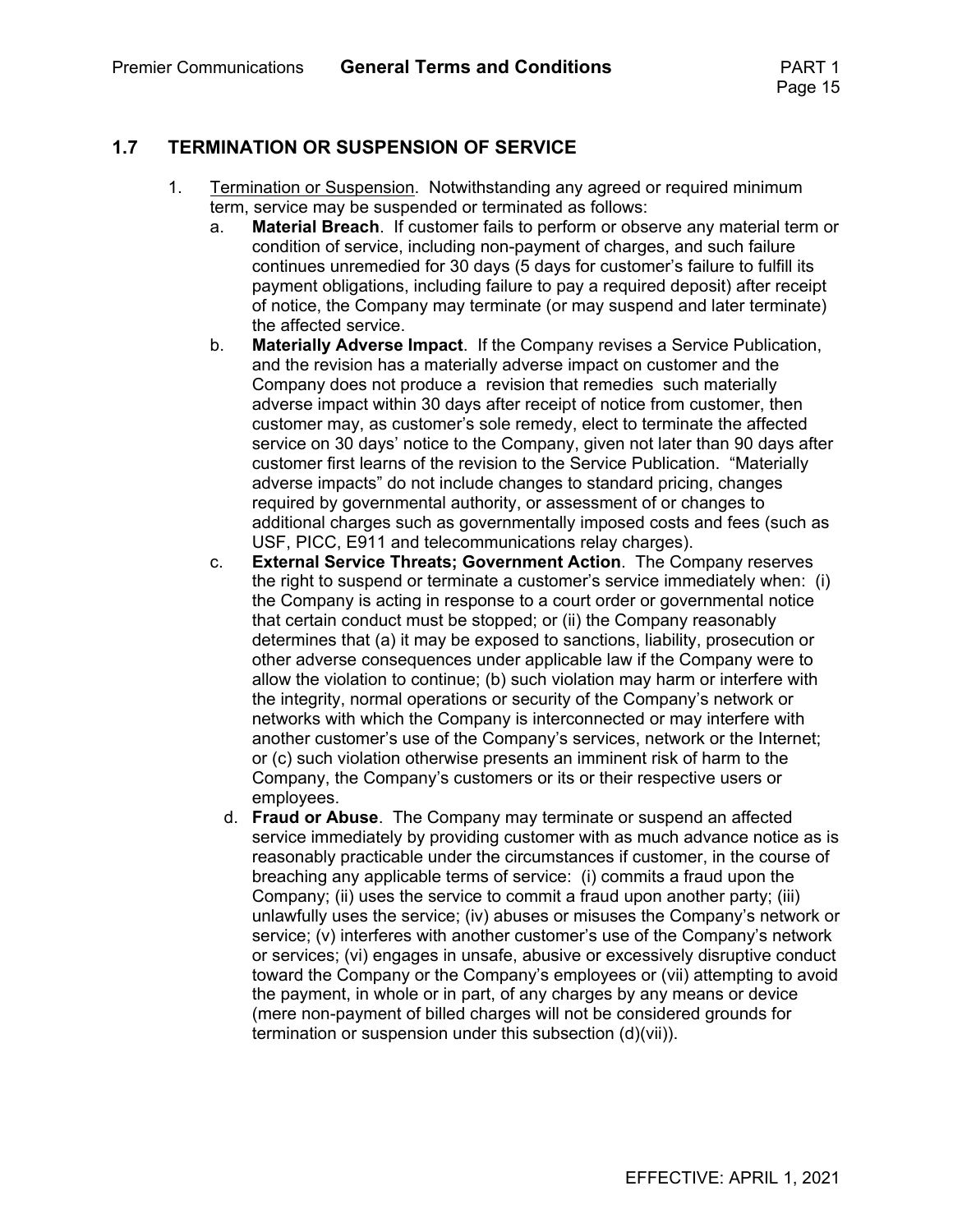#### **1.7 TERMINATION OR SUSPENSION OF SERVICE**

- 1. Termination or Suspension. Notwithstanding any agreed or required minimum term, service may be suspended or terminated as follows:
	- a. **Material Breach**. If customer fails to perform or observe any material term or condition of service, including non-payment of charges, and such failure continues unremedied for 30 days (5 days for customer's failure to fulfill its payment obligations, including failure to pay a required deposit) after receipt of notice, the Company may terminate (or may suspend and later terminate) the affected service.
	- b. **Materially Adverse Impact**. If the Company revises a Service Publication, and the revision has a materially adverse impact on customer and the Company does not produce a revision that remedies such materially adverse impact within 30 days after receipt of notice from customer, then customer may, as customer's sole remedy, elect to terminate the affected service on 30 days' notice to the Company, given not later than 90 days after customer first learns of the revision to the Service Publication. "Materially adverse impacts" do not include changes to standard pricing, changes required by governmental authority, or assessment of or changes to additional charges such as governmentally imposed costs and fees (such as USF, PICC, E911 and telecommunications relay charges).
	- c. **External Service Threats; Government Action**. The Company reserves the right to suspend or terminate a customer's service immediately when: (i) the Company is acting in response to a court order or governmental notice that certain conduct must be stopped; or (ii) the Company reasonably determines that (a) it may be exposed to sanctions, liability, prosecution or other adverse consequences under applicable law if the Company were to allow the violation to continue; (b) such violation may harm or interfere with the integrity, normal operations or security of the Company's network or networks with which the Company is interconnected or may interfere with another customer's use of the Company's services, network or the Internet; or (c) such violation otherwise presents an imminent risk of harm to the Company, the Company's customers or its or their respective users or employees.
		- d. **Fraud or Abuse**. The Company may terminate or suspend an affected service immediately by providing customer with as much advance notice as is reasonably practicable under the circumstances if customer, in the course of breaching any applicable terms of service: (i) commits a fraud upon the Company; (ii) uses the service to commit a fraud upon another party; (iii) unlawfully uses the service; (iv) abuses or misuses the Company's network or service; (v) interferes with another customer's use of the Company's network or services; (vi) engages in unsafe, abusive or excessively disruptive conduct toward the Company or the Company's employees or (vii) attempting to avoid the payment, in whole or in part, of any charges by any means or device (mere non-payment of billed charges will not be considered grounds for termination or suspension under this subsection (d)(vii)).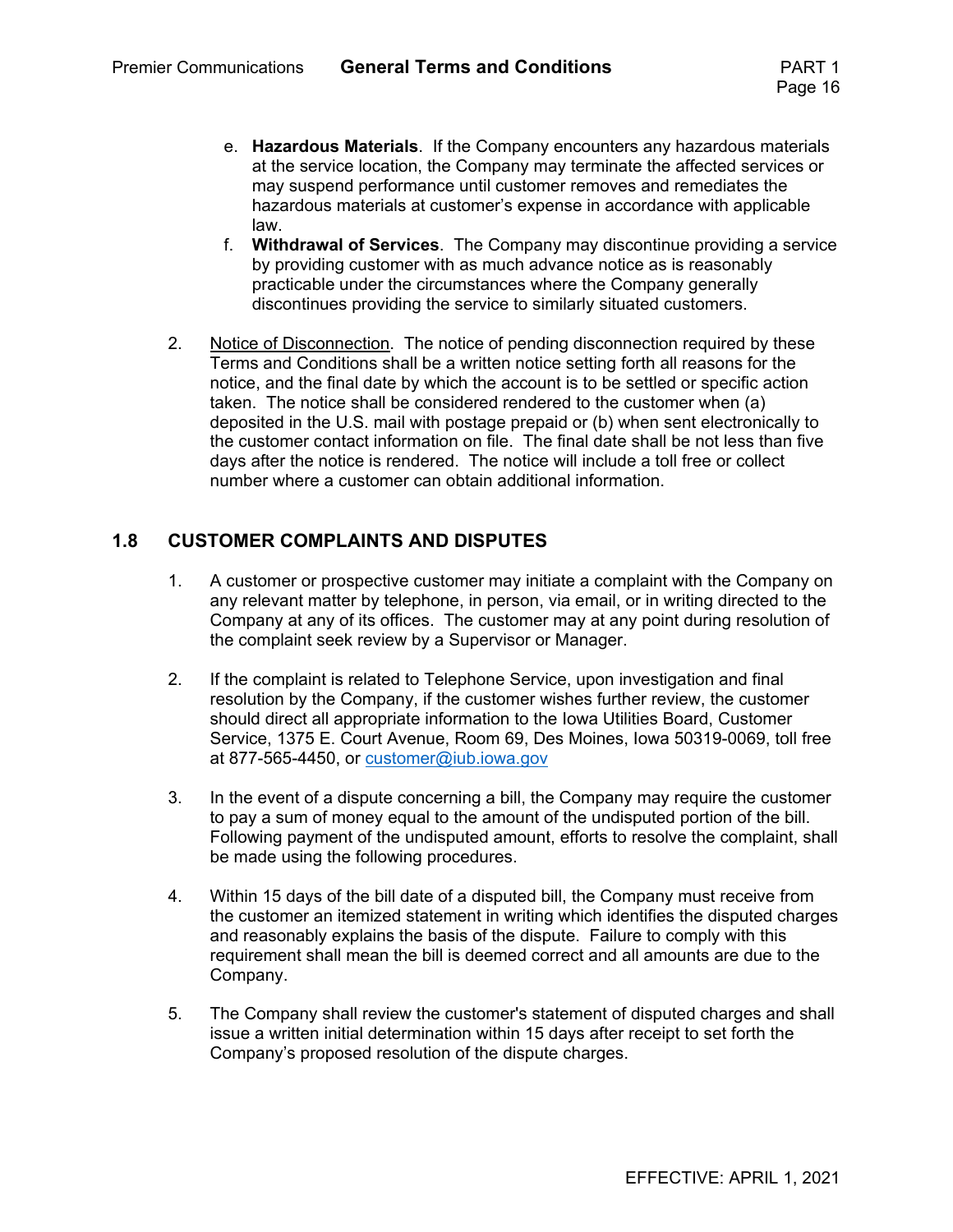- e. **Hazardous Materials**. If the Company encounters any hazardous materials at the service location, the Company may terminate the affected services or may suspend performance until customer removes and remediates the hazardous materials at customer's expense in accordance with applicable law.
- f. **Withdrawal of Services**. The Company may discontinue providing a service by providing customer with as much advance notice as is reasonably practicable under the circumstances where the Company generally discontinues providing the service to similarly situated customers.
- 2. Notice of Disconnection. The notice of pending disconnection required by these Terms and Conditions shall be a written notice setting forth all reasons for the notice, and the final date by which the account is to be settled or specific action taken. The notice shall be considered rendered to the customer when (a) deposited in the U.S. mail with postage prepaid or (b) when sent electronically to the customer contact information on file. The final date shall be not less than five days after the notice is rendered. The notice will include a toll free or collect number where a customer can obtain additional information.

#### **1.8 CUSTOMER COMPLAINTS AND DISPUTES**

- 1. A customer or prospective customer may initiate a complaint with the Company on any relevant matter by telephone, in person, via email, or in writing directed to the Company at any of its offices. The customer may at any point during resolution of the complaint seek review by a Supervisor or Manager.
- 2. If the complaint is related to Telephone Service, upon investigation and final resolution by the Company, if the customer wishes further review, the customer should direct all appropriate information to the Iowa Utilities Board, Customer Service, 1375 E. Court Avenue, Room 69, Des Moines, Iowa 50319-0069, toll free at 877-565-4450, or customer@iub.iowa.gov
- 3. In the event of a dispute concerning a bill, the Company may require the customer to pay a sum of money equal to the amount of the undisputed portion of the bill. Following payment of the undisputed amount, efforts to resolve the complaint, shall be made using the following procedures.
- 4. Within 15 days of the bill date of a disputed bill, the Company must receive from the customer an itemized statement in writing which identifies the disputed charges and reasonably explains the basis of the dispute. Failure to comply with this requirement shall mean the bill is deemed correct and all amounts are due to the Company.
- 5. The Company shall review the customer's statement of disputed charges and shall issue a written initial determination within 15 days after receipt to set forth the Company's proposed resolution of the dispute charges.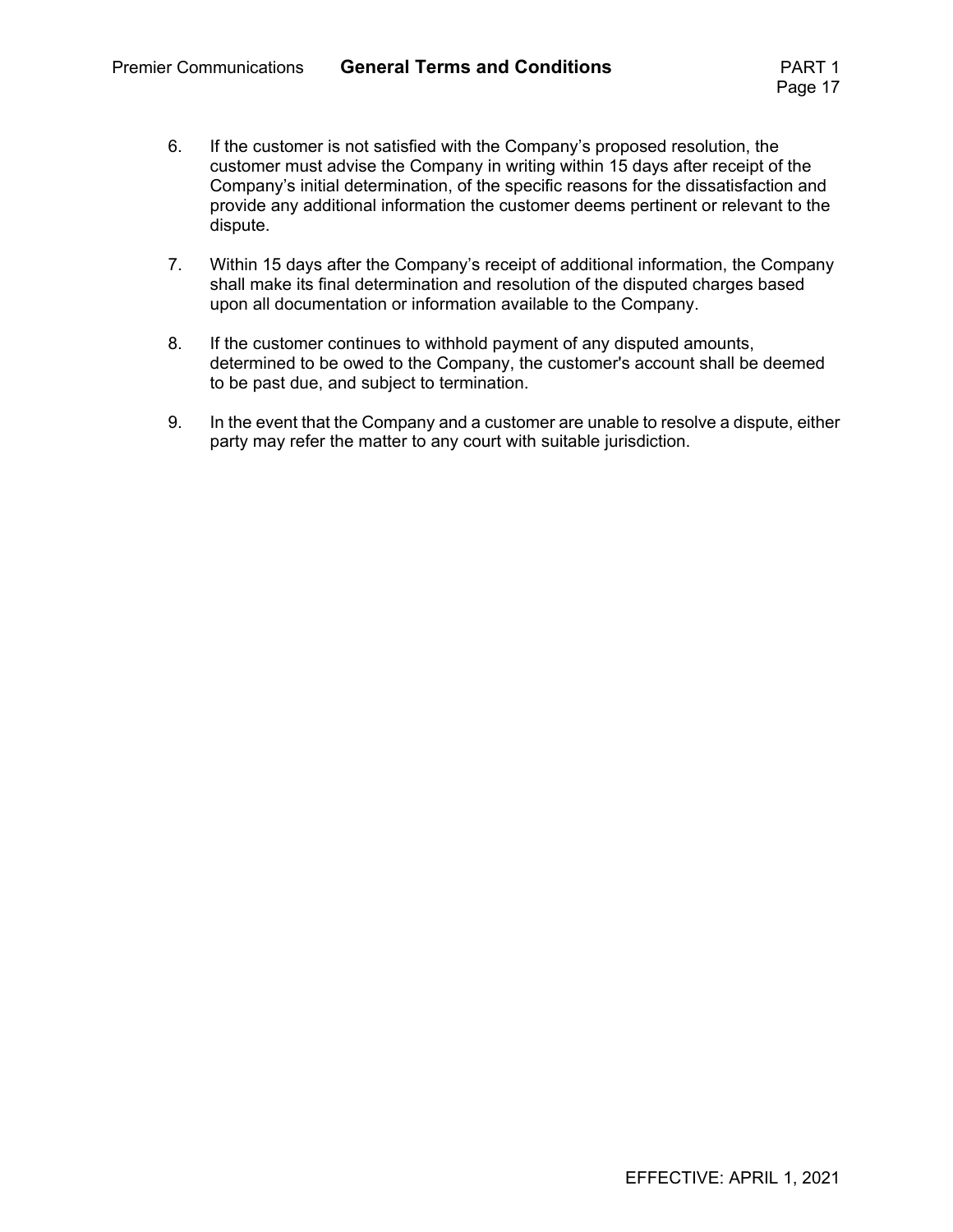- 6. If the customer is not satisfied with the Company's proposed resolution, the customer must advise the Company in writing within 15 days after receipt of the Company's initial determination, of the specific reasons for the dissatisfaction and provide any additional information the customer deems pertinent or relevant to the dispute.
- 7. Within 15 days after the Company's receipt of additional information, the Company shall make its final determination and resolution of the disputed charges based upon all documentation or information available to the Company.
- 8. If the customer continues to withhold payment of any disputed amounts, determined to be owed to the Company, the customer's account shall be deemed to be past due, and subject to termination.
- 9. In the event that the Company and a customer are unable to resolve a dispute, either party may refer the matter to any court with suitable jurisdiction.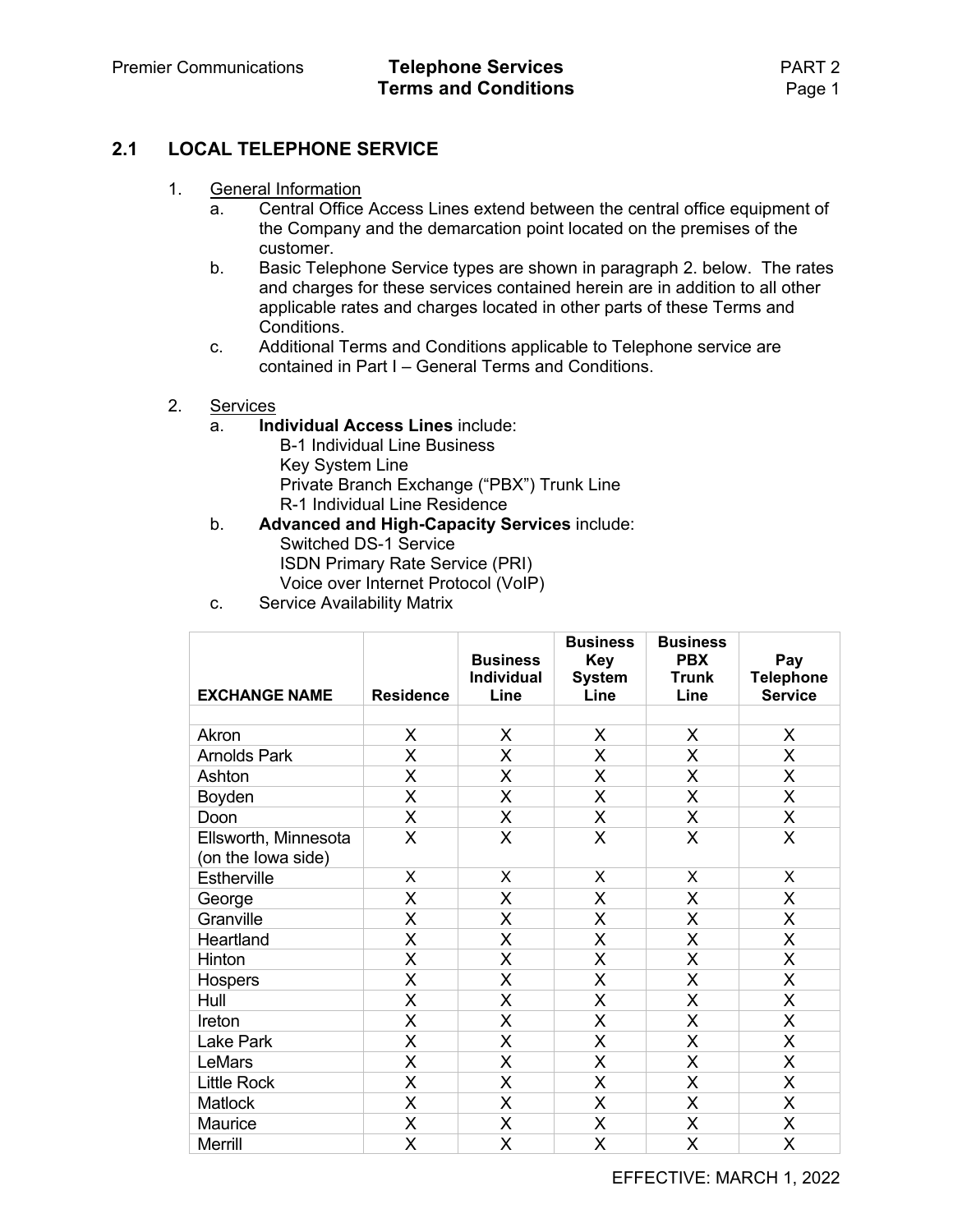#### **2.1 LOCAL TELEPHONE SERVICE**

- 1. General Information
	- a. Central Office Access Lines extend between the central office equipment of the Company and the demarcation point located on the premises of the customer.
	- b. Basic Telephone Service types are shown in paragraph 2. below. The rates and charges for these services contained herein are in addition to all other applicable rates and charges located in other parts of these Terms and Conditions.
	- c. Additional Terms and Conditions applicable to Telephone service are contained in Part I – General Terms and Conditions.
- 2. Services
	- a. **Individual Access Lines** include:
		- B-1 Individual Line Business Key System Line Private Branch Exchange ("PBX") Trunk Line R-1 Individual Line Residence
	- b. **Advanced and High-Capacity Services** include: Switched DS-1 Service ISDN Primary Rate Service (PRI) Voice over Internet Protocol (VoIP)
	- c. Service Availability Matrix

| <b>EXCHANGE NAME</b>                       | <b>Residence</b> | <b>Business</b><br>Individual<br>Line | <b>Business</b><br><b>Key</b><br><b>System</b><br>Line | <b>Business</b><br><b>PBX</b><br><b>Trunk</b><br>Line | Pay<br><b>Telephone</b><br><b>Service</b> |
|--------------------------------------------|------------------|---------------------------------------|--------------------------------------------------------|-------------------------------------------------------|-------------------------------------------|
|                                            |                  |                                       |                                                        |                                                       |                                           |
| Akron                                      | X                | X                                     | X                                                      | X                                                     | X                                         |
| <b>Arnolds Park</b>                        | X                | X                                     | X                                                      | X                                                     | X                                         |
| Ashton                                     | X                | X                                     | X                                                      | X                                                     | $\mathsf{X}$                              |
| Boyden                                     | X                | X                                     | X                                                      | X                                                     | X.                                        |
| Doon                                       | X                | X                                     | X                                                      | X                                                     | X.                                        |
| Ellsworth, Minnesota<br>(on the lowa side) | X                | X                                     | X                                                      | X                                                     | X                                         |
| Estherville                                | X                | X                                     | X                                                      | X                                                     | X                                         |
| George                                     | X                | X                                     | X                                                      | X                                                     | X.                                        |
| Granville                                  | X                | X                                     | X                                                      | X                                                     | X.                                        |
| Heartland                                  | X                | X                                     | X                                                      | X                                                     | X.                                        |
| Hinton                                     | X                | X                                     | X                                                      | X                                                     | X.                                        |
| Hospers                                    | X                | X                                     | X                                                      | X                                                     | X.                                        |
| Hull                                       | $\mathsf{X}$     | X                                     | X                                                      | X                                                     | X.                                        |
| Ireton                                     | X                | X                                     | X                                                      | X                                                     | X.                                        |
| <b>Lake Park</b>                           | X                | X                                     | X                                                      | X                                                     | X.                                        |
| LeMars                                     | X                | X                                     | X                                                      | X                                                     | X.                                        |
| <b>Little Rock</b>                         | $\mathsf{X}$     | X                                     | X                                                      | X                                                     | X.                                        |
| <b>Matlock</b>                             | X                | X                                     | X                                                      | X                                                     | X.                                        |
| Maurice                                    | X                | X                                     | X                                                      | X                                                     | X.                                        |
| Merrill                                    | X                | X                                     | X                                                      | X                                                     | X                                         |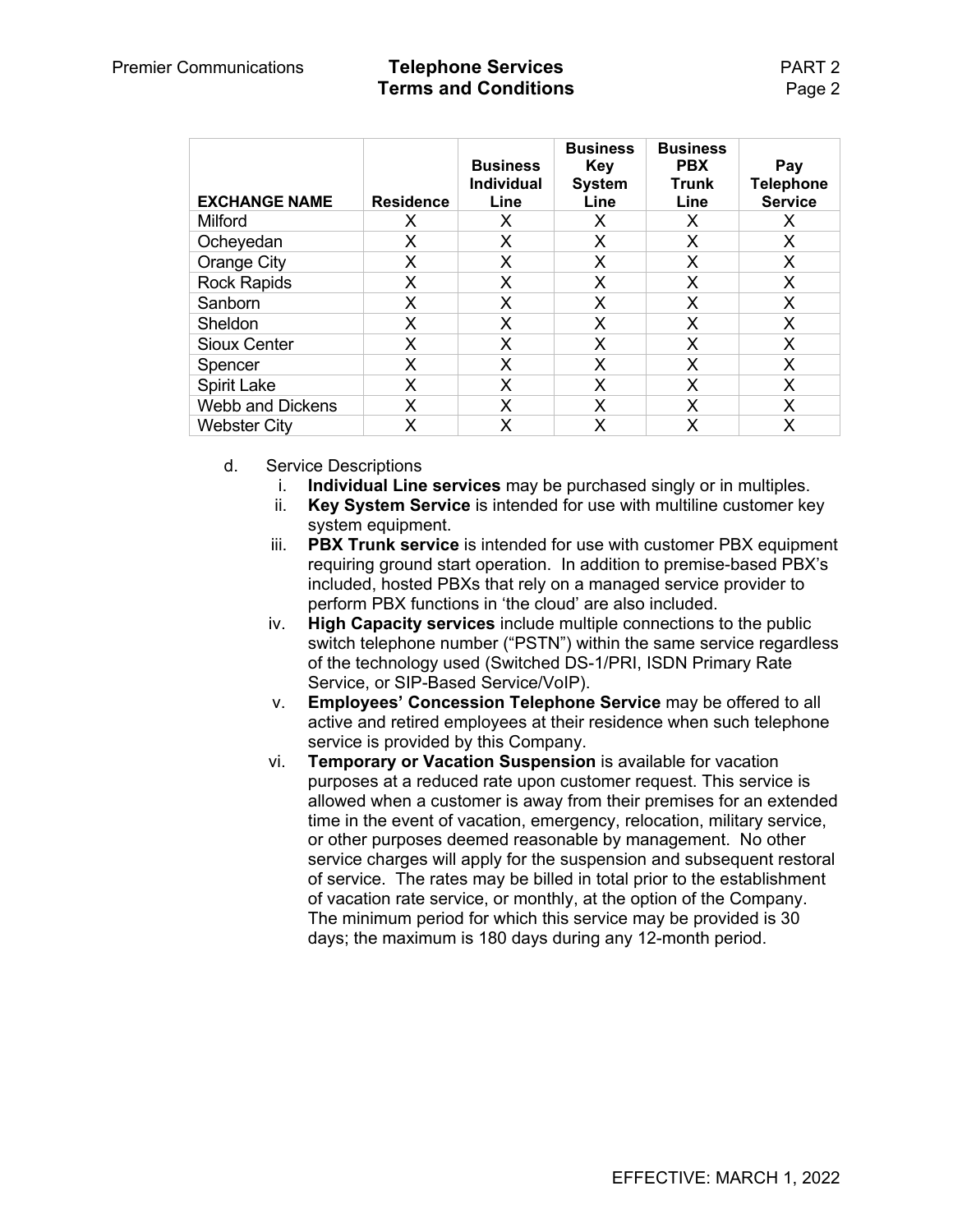#### Premier Communications **Telephone Services** PART 2 **Terms and Conditions Page 2**

| <b>EXCHANGE NAME</b>    | <b>Residence</b> | <b>Business</b><br><b>Individual</b><br>Line | <b>Business</b><br>Key<br><b>System</b><br>Line | <b>Business</b><br><b>PBX</b><br><b>Trunk</b><br>Line | Pay<br><b>Telephone</b><br><b>Service</b> |
|-------------------------|------------------|----------------------------------------------|-------------------------------------------------|-------------------------------------------------------|-------------------------------------------|
| Milford                 | X                | X                                            | X                                               | X                                                     | X                                         |
| Ocheyedan               | X                | X                                            | X                                               | X                                                     | X                                         |
| Orange City             | X                | Х                                            | X                                               | X                                                     | X                                         |
| <b>Rock Rapids</b>      | X                | X                                            | X                                               | X                                                     | X                                         |
| Sanborn                 | X                | X                                            | X                                               | X                                                     | X                                         |
| Sheldon                 | X                | X                                            | X                                               | X                                                     | X                                         |
| <b>Sioux Center</b>     | X                | X                                            | X                                               | X                                                     | X                                         |
| Spencer                 | X                | X                                            | X                                               | X                                                     | X                                         |
| <b>Spirit Lake</b>      | X                | X                                            | X                                               | X                                                     | X                                         |
| <b>Webb and Dickens</b> | X                | X                                            | X                                               | X                                                     | X                                         |
| <b>Webster City</b>     |                  | Χ                                            | x                                               | x                                                     | X                                         |

- d. Service Descriptions
	- i. **Individual Line services** may be purchased singly or in multiples.
	- ii. **Key System Service** is intended for use with multiline customer key system equipment.
	- iii. **PBX Trunk service** is intended for use with customer PBX equipment requiring ground start operation. In addition to premise-based PBX's included, hosted PBXs that rely on a managed service provider to perform PBX functions in 'the cloud' are also included.
	- iv. **High Capacity services** include multiple connections to the public switch telephone number ("PSTN") within the same service regardless of the technology used (Switched DS-1/PRI, ISDN Primary Rate Service, or SIP-Based Service/VoIP).
	- v. **Employees' Concession Telephone Service** may be offered to all active and retired employees at their residence when such telephone service is provided by this Company.
	- vi. **Temporary or Vacation Suspension** is available for vacation purposes at a reduced rate upon customer request. This service is allowed when a customer is away from their premises for an extended time in the event of vacation, emergency, relocation, military service, or other purposes deemed reasonable by management. No other service charges will apply for the suspension and subsequent restoral of service. The rates may be billed in total prior to the establishment of vacation rate service, or monthly, at the option of the Company. The minimum period for which this service may be provided is 30 days; the maximum is 180 days during any 12-month period.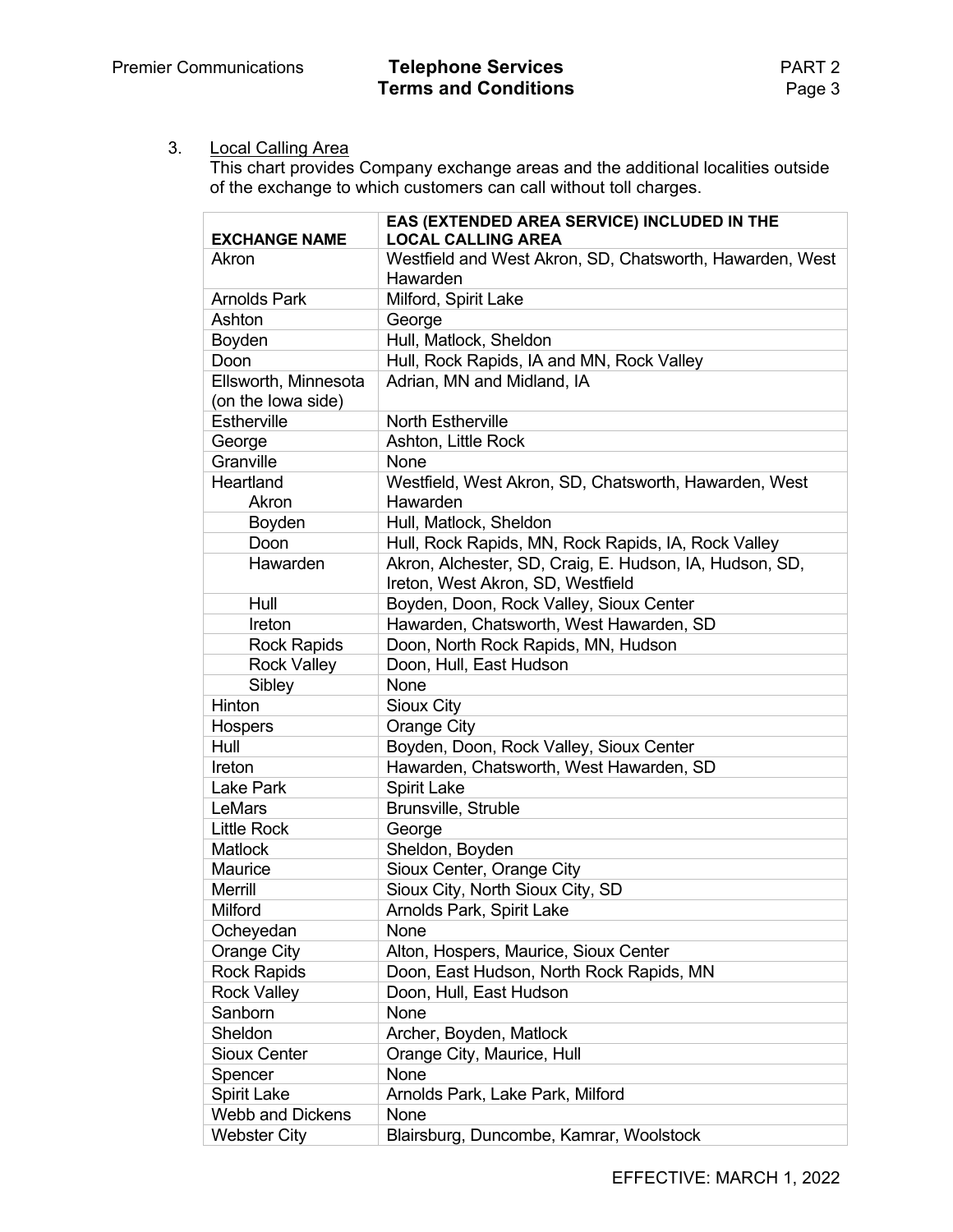### 3. Local Calling Area

This chart provides Company exchange areas and the additional localities outside of the exchange to which customers can call without toll charges.

|                                            | EAS (EXTENDED AREA SERVICE) INCLUDED IN THE                                                  |
|--------------------------------------------|----------------------------------------------------------------------------------------------|
| <b>EXCHANGE NAME</b>                       | <b>LOCAL CALLING AREA</b>                                                                    |
| Akron                                      | Westfield and West Akron, SD, Chatsworth, Hawarden, West                                     |
|                                            | Hawarden                                                                                     |
| <b>Arnolds Park</b>                        | Milford, Spirit Lake                                                                         |
| Ashton                                     | George                                                                                       |
| Boyden                                     | Hull, Matlock, Sheldon                                                                       |
| Doon                                       | Hull, Rock Rapids, IA and MN, Rock Valley                                                    |
| Ellsworth, Minnesota<br>(on the lowa side) | Adrian, MN and Midland, IA                                                                   |
| Estherville                                | North Estherville                                                                            |
| George                                     | Ashton, Little Rock                                                                          |
| Granville                                  | None                                                                                         |
| Heartland                                  | Westfield, West Akron, SD, Chatsworth, Hawarden, West                                        |
| Akron                                      | Hawarden                                                                                     |
| Boyden                                     | Hull, Matlock, Sheldon                                                                       |
| Doon                                       | Hull, Rock Rapids, MN, Rock Rapids, IA, Rock Valley                                          |
| Hawarden                                   | Akron, Alchester, SD, Craig, E. Hudson, IA, Hudson, SD,<br>Ireton, West Akron, SD, Westfield |
| Hull                                       | Boyden, Doon, Rock Valley, Sioux Center                                                      |
| Ireton                                     | Hawarden, Chatsworth, West Hawarden, SD                                                      |
| <b>Rock Rapids</b>                         | Doon, North Rock Rapids, MN, Hudson                                                          |
| <b>Rock Valley</b>                         | Doon, Hull, East Hudson                                                                      |
| Sibley                                     | None                                                                                         |
| Hinton                                     | Sioux City                                                                                   |
| Hospers                                    | Orange City                                                                                  |
| Hull                                       | Boyden, Doon, Rock Valley, Sioux Center                                                      |
| Ireton                                     | Hawarden, Chatsworth, West Hawarden, SD                                                      |
| <b>Lake Park</b>                           | <b>Spirit Lake</b>                                                                           |
| LeMars                                     | Brunsville, Struble                                                                          |
| <b>Little Rock</b>                         | George                                                                                       |
| <b>Matlock</b>                             | Sheldon, Boyden                                                                              |
| Maurice                                    | Sioux Center, Orange City                                                                    |
| <b>Merrill</b>                             | Sioux City, North Sioux City, SD                                                             |
| Milford                                    | Arnolds Park, Spirit Lake                                                                    |
| Ocheyedan                                  | None                                                                                         |
| Orange City                                | Alton, Hospers, Maurice, Sioux Center                                                        |
| <b>Rock Rapids</b>                         | Doon, East Hudson, North Rock Rapids, MN                                                     |
| <b>Rock Valley</b>                         | Doon, Hull, East Hudson                                                                      |
| Sanborn                                    | None                                                                                         |
| Sheldon                                    | Archer, Boyden, Matlock                                                                      |
| <b>Sioux Center</b>                        | Orange City, Maurice, Hull                                                                   |
| Spencer                                    | <b>None</b>                                                                                  |
| <b>Spirit Lake</b>                         | Arnolds Park, Lake Park, Milford                                                             |
| <b>Webb and Dickens</b>                    | None                                                                                         |
| <b>Webster City</b>                        | Blairsburg, Duncombe, Kamrar, Woolstock                                                      |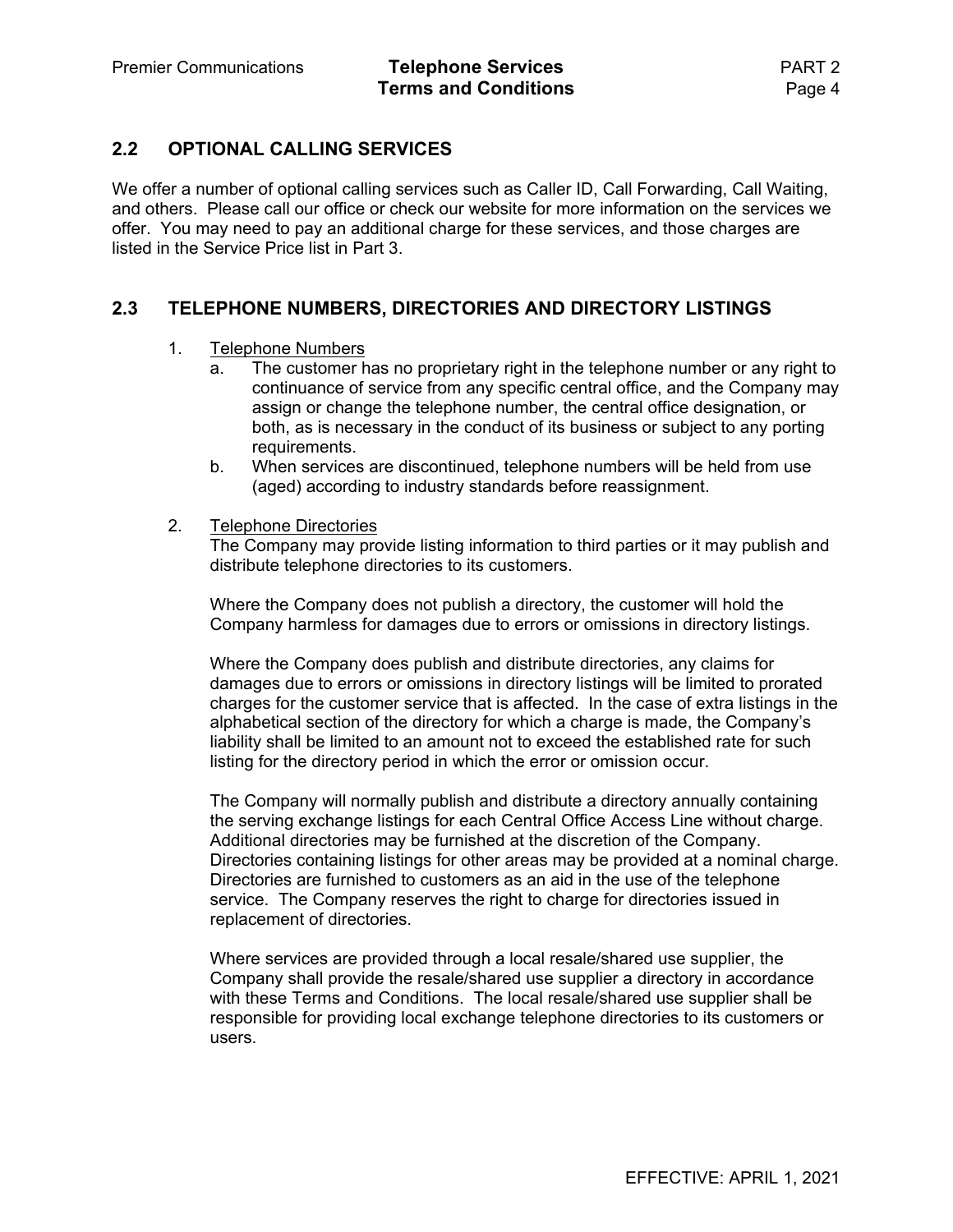#### **2.2 OPTIONAL CALLING SERVICES**

We offer a number of optional calling services such as Caller ID, Call Forwarding, Call Waiting, and others. Please call our office or check our website for more information on the services we offer. You may need to pay an additional charge for these services, and those charges are listed in the Service Price list in Part 3.

#### **2.3 TELEPHONE NUMBERS, DIRECTORIES AND DIRECTORY LISTINGS**

- 1. Telephone Numbers
	- a. The customer has no proprietary right in the telephone number or any right to continuance of service from any specific central office, and the Company may assign or change the telephone number, the central office designation, or both, as is necessary in the conduct of its business or subject to any porting requirements.
	- b. When services are discontinued, telephone numbers will be held from use (aged) according to industry standards before reassignment.
- 2. Telephone Directories

 The Company may provide listing information to third parties or it may publish and distribute telephone directories to its customers.

Where the Company does not publish a directory, the customer will hold the Company harmless for damages due to errors or omissions in directory listings.

Where the Company does publish and distribute directories, any claims for damages due to errors or omissions in directory listings will be limited to prorated charges for the customer service that is affected. In the case of extra listings in the alphabetical section of the directory for which a charge is made, the Company's liability shall be limited to an amount not to exceed the established rate for such listing for the directory period in which the error or omission occur.

The Company will normally publish and distribute a directory annually containing the serving exchange listings for each Central Office Access Line without charge. Additional directories may be furnished at the discretion of the Company. Directories containing listings for other areas may be provided at a nominal charge. Directories are furnished to customers as an aid in the use of the telephone service. The Company reserves the right to charge for directories issued in replacement of directories.

Where services are provided through a local resale/shared use supplier, the Company shall provide the resale/shared use supplier a directory in accordance with these Terms and Conditions. The local resale/shared use supplier shall be responsible for providing local exchange telephone directories to its customers or users.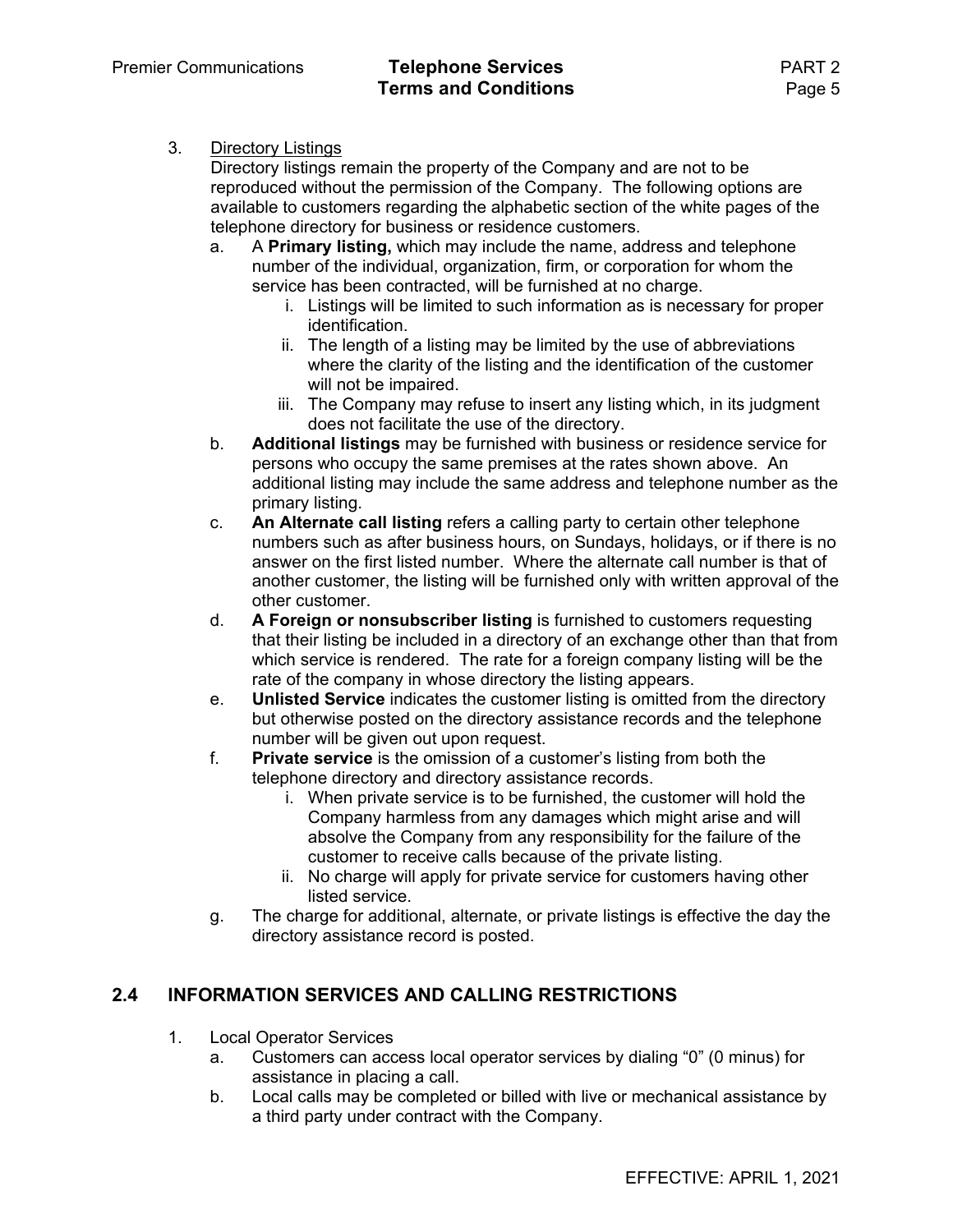#### 3. Directory Listings

Directory listings remain the property of the Company and are not to be reproduced without the permission of the Company. The following options are available to customers regarding the alphabetic section of the white pages of the telephone directory for business or residence customers.

- a. A **Primary listing,** which may include the name, address and telephone number of the individual, organization, firm, or corporation for whom the service has been contracted, will be furnished at no charge.
	- i. Listings will be limited to such information as is necessary for proper identification.
	- ii. The length of a listing may be limited by the use of abbreviations where the clarity of the listing and the identification of the customer will not be impaired.
	- iii. The Company may refuse to insert any listing which, in its judgment does not facilitate the use of the directory.
- b. **Additional listings** may be furnished with business or residence service for persons who occupy the same premises at the rates shown above. An additional listing may include the same address and telephone number as the primary listing.
- c. **An Alternate call listing** refers a calling party to certain other telephone numbers such as after business hours, on Sundays, holidays, or if there is no answer on the first listed number. Where the alternate call number is that of another customer, the listing will be furnished only with written approval of the other customer.
- d. **A Foreign or nonsubscriber listing** is furnished to customers requesting that their listing be included in a directory of an exchange other than that from which service is rendered. The rate for a foreign company listing will be the rate of the company in whose directory the listing appears.
- e. **Unlisted Service** indicates the customer listing is omitted from the directory but otherwise posted on the directory assistance records and the telephone number will be given out upon request.
- f. **Private service** is the omission of a customer's listing from both the telephone directory and directory assistance records.
	- i. When private service is to be furnished, the customer will hold the Company harmless from any damages which might arise and will absolve the Company from any responsibility for the failure of the customer to receive calls because of the private listing.
	- ii. No charge will apply for private service for customers having other listed service.
- g. The charge for additional, alternate, or private listings is effective the day the directory assistance record is posted.

### **2.4 INFORMATION SERVICES AND CALLING RESTRICTIONS**

- 1. Local Operator Services
	- a. Customers can access local operator services by dialing "0" (0 minus) for assistance in placing a call.
	- b. Local calls may be completed or billed with live or mechanical assistance by a third party under contract with the Company.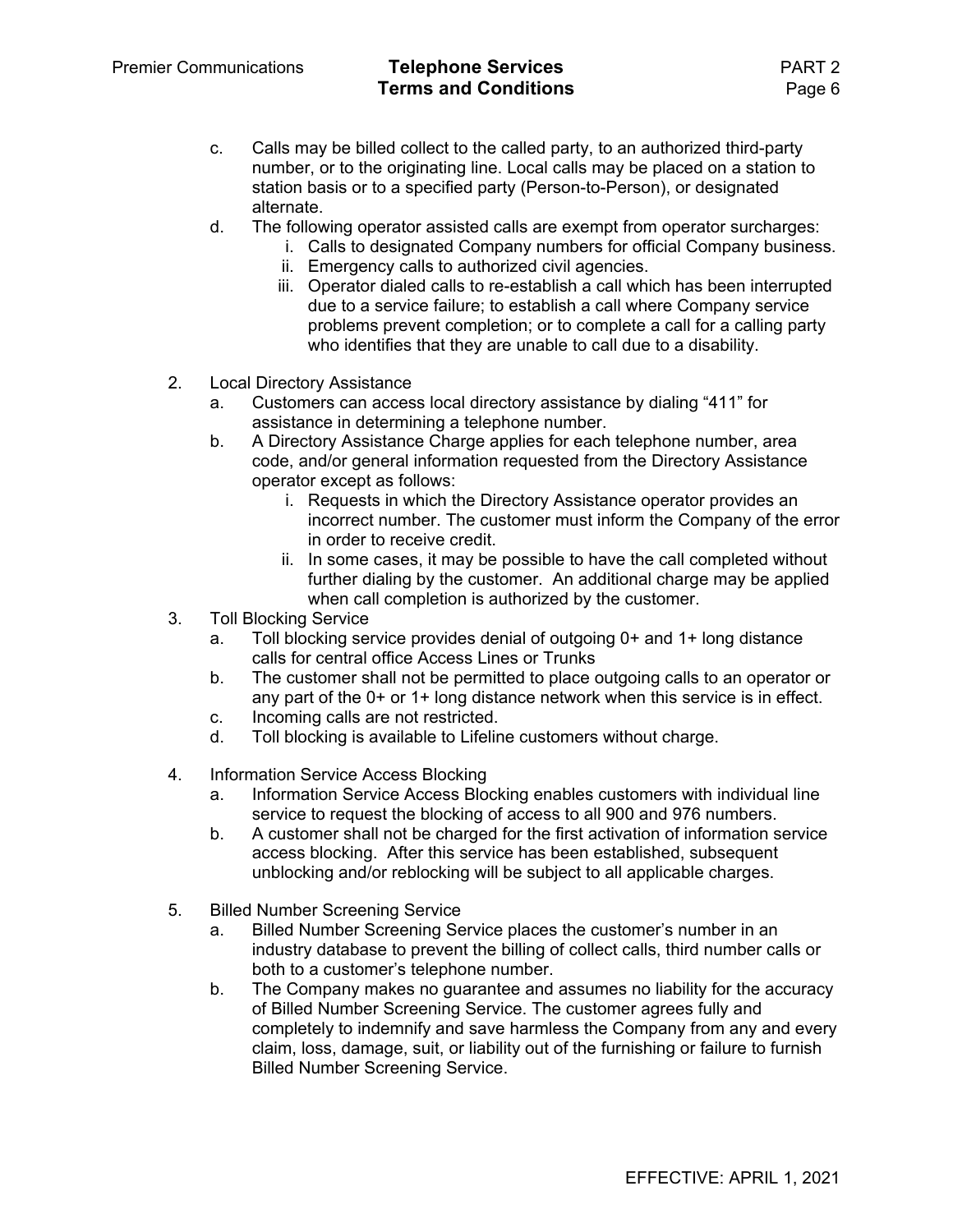- c. Calls may be billed collect to the called party, to an authorized third-party number, or to the originating line. Local calls may be placed on a station to station basis or to a specified party (Person-to-Person), or designated alternate.
- d. The following operator assisted calls are exempt from operator surcharges:
	- i. Calls to designated Company numbers for official Company business.
	- ii. Emergency calls to authorized civil agencies.
	- iii. Operator dialed calls to re-establish a call which has been interrupted due to a service failure; to establish a call where Company service problems prevent completion; or to complete a call for a calling party who identifies that they are unable to call due to a disability.
- 2. Local Directory Assistance
	- a. Customers can access local directory assistance by dialing "411" for assistance in determining a telephone number.
	- b. A Directory Assistance Charge applies for each telephone number, area code, and/or general information requested from the Directory Assistance operator except as follows:
		- i. Requests in which the Directory Assistance operator provides an incorrect number. The customer must inform the Company of the error in order to receive credit.
		- ii. In some cases, it may be possible to have the call completed without further dialing by the customer. An additional charge may be applied when call completion is authorized by the customer.
- 3. Toll Blocking Service
	- a. Toll blocking service provides denial of outgoing 0+ and 1+ long distance calls for central office Access Lines or Trunks
	- b. The customer shall not be permitted to place outgoing calls to an operator or any part of the 0+ or 1+ long distance network when this service is in effect.
	- c. Incoming calls are not restricted.
	- d. Toll blocking is available to Lifeline customers without charge.
- 4. Information Service Access Blocking
	- a. Information Service Access Blocking enables customers with individual line service to request the blocking of access to all 900 and 976 numbers.
	- b. A customer shall not be charged for the first activation of information service access blocking. After this service has been established, subsequent unblocking and/or reblocking will be subject to all applicable charges.
- 5. Billed Number Screening Service
	- a. Billed Number Screening Service places the customer's number in an industry database to prevent the billing of collect calls, third number calls or both to a customer's telephone number.
	- b. The Company makes no guarantee and assumes no liability for the accuracy of Billed Number Screening Service. The customer agrees fully and completely to indemnify and save harmless the Company from any and every claim, loss, damage, suit, or liability out of the furnishing or failure to furnish Billed Number Screening Service.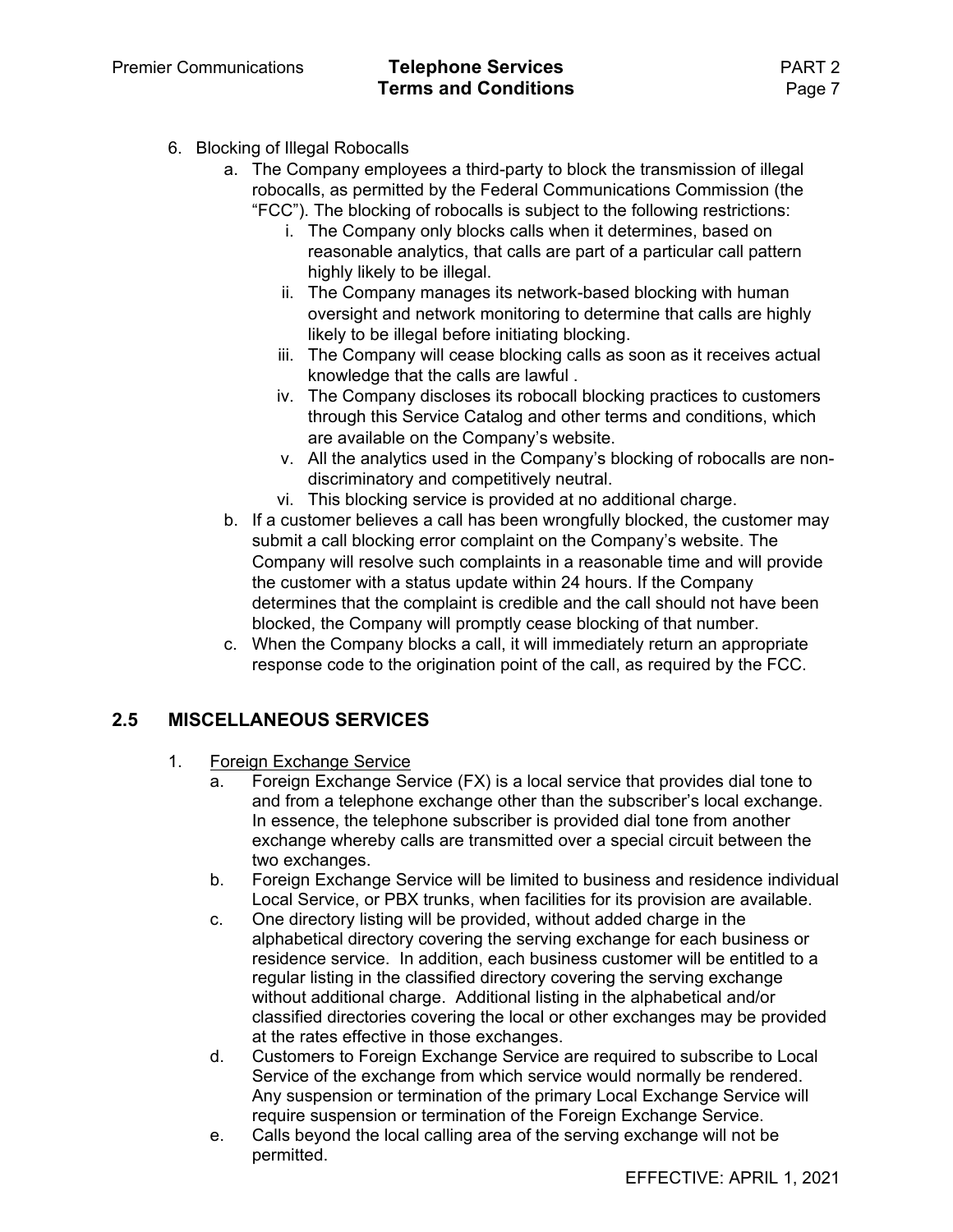#### Premier Communications **Telephone Services** PART 2 **Terms and Conditions Page 7**

- 6. Blocking of Illegal Robocalls
	- a. The Company employees a third-party to block the transmission of illegal robocalls, as permitted by the Federal Communications Commission (the "FCC"). The blocking of robocalls is subject to the following restrictions:
		- i. The Company only blocks calls when it determines, based on reasonable analytics, that calls are part of a particular call pattern highly likely to be illegal.
		- ii. The Company manages its network-based blocking with human oversight and network monitoring to determine that calls are highly likely to be illegal before initiating blocking.
		- iii. The Company will cease blocking calls as soon as it receives actual knowledge that the calls are lawful .
		- iv. The Company discloses its robocall blocking practices to customers through this Service Catalog and other terms and conditions, which are available on the Company's website.
		- v. All the analytics used in the Company's blocking of robocalls are nondiscriminatory and competitively neutral.
		- vi. This blocking service is provided at no additional charge.
	- b. If a customer believes a call has been wrongfully blocked, the customer may submit a call blocking error complaint on the Company's website. The Company will resolve such complaints in a reasonable time and will provide the customer with a status update within 24 hours. If the Company determines that the complaint is credible and the call should not have been blocked, the Company will promptly cease blocking of that number.
	- c. When the Company blocks a call, it will immediately return an appropriate response code to the origination point of the call, as required by the FCC.

### **2.5 MISCELLANEOUS SERVICES**

- 1. Foreign Exchange Service
	- a. Foreign Exchange Service (FX) is a local service that provides dial tone to and from a telephone exchange other than the subscriber's local exchange. In essence, the telephone subscriber is provided dial tone from another exchange whereby calls are transmitted over a special circuit between the two exchanges.
	- b. Foreign Exchange Service will be limited to business and residence individual Local Service, or PBX trunks, when facilities for its provision are available.
	- c. One directory listing will be provided, without added charge in the alphabetical directory covering the serving exchange for each business or residence service. In addition, each business customer will be entitled to a regular listing in the classified directory covering the serving exchange without additional charge. Additional listing in the alphabetical and/or classified directories covering the local or other exchanges may be provided at the rates effective in those exchanges.
	- d. Customers to Foreign Exchange Service are required to subscribe to Local Service of the exchange from which service would normally be rendered. Any suspension or termination of the primary Local Exchange Service will require suspension or termination of the Foreign Exchange Service.
	- e. Calls beyond the local calling area of the serving exchange will not be permitted.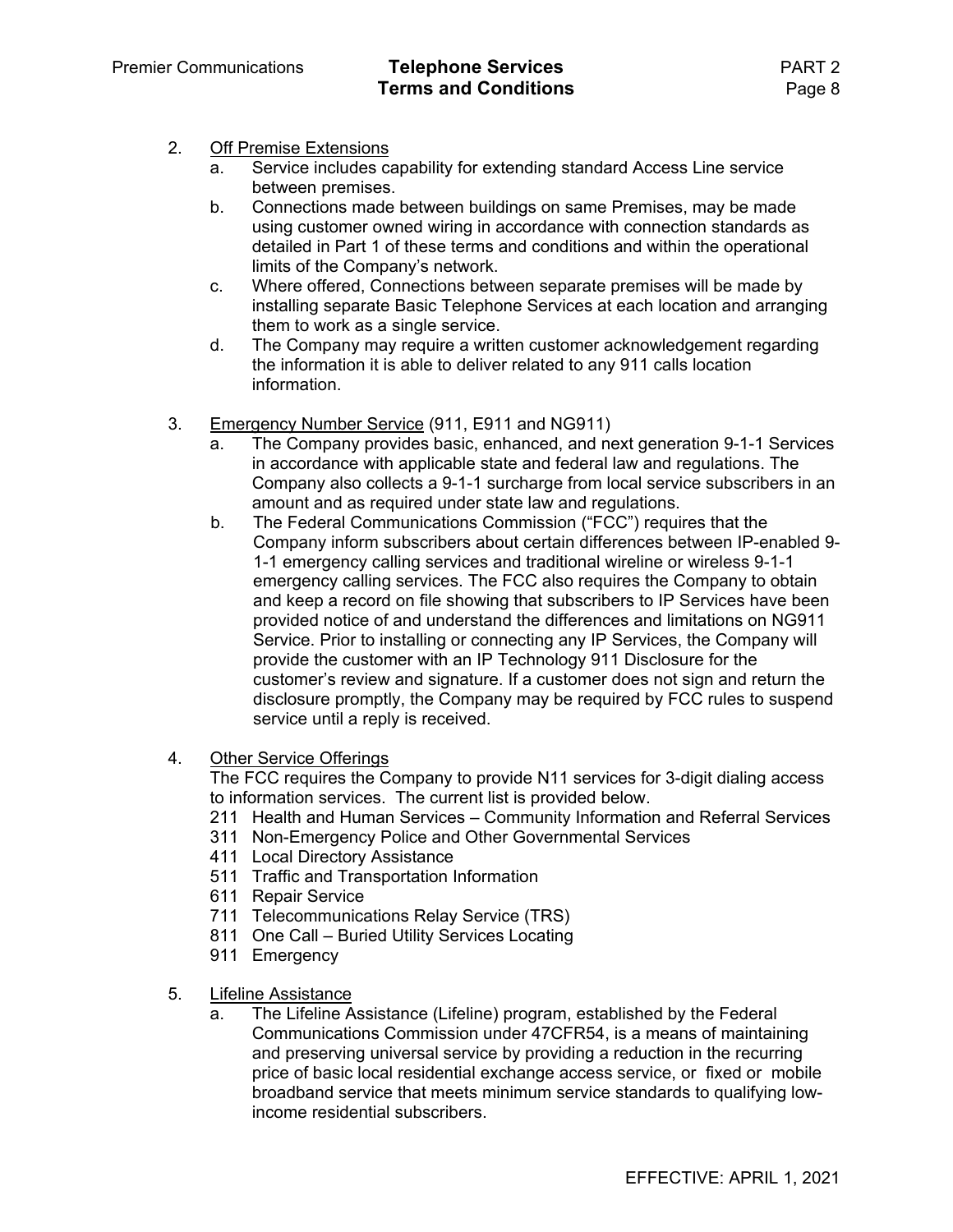- 2. Off Premise Extensions
	- a. Service includes capability for extending standard Access Line service between premises.
	- b. Connections made between buildings on same Premises, may be made using customer owned wiring in accordance with connection standards as detailed in Part 1 of these terms and conditions and within the operational limits of the Company's network.
	- c. Where offered, Connections between separate premises will be made by installing separate Basic Telephone Services at each location and arranging them to work as a single service.
	- d. The Company may require a written customer acknowledgement regarding the information it is able to deliver related to any 911 calls location information.
- 3. Emergency Number Service (911, E911 and NG911)
	- a. The Company provides basic, enhanced, and next generation 9-1-1 Services in accordance with applicable state and federal law and regulations. The Company also collects a 9-1-1 surcharge from local service subscribers in an amount and as required under state law and regulations.
	- b. The Federal Communications Commission ("FCC") requires that the Company inform subscribers about certain differences between IP-enabled 9- 1-1 emergency calling services and traditional wireline or wireless 9-1-1 emergency calling services. The FCC also requires the Company to obtain and keep a record on file showing that subscribers to IP Services have been provided notice of and understand the differences and limitations on NG911 Service. Prior to installing or connecting any IP Services, the Company will provide the customer with an IP Technology 911 Disclosure for the customer's review and signature. If a customer does not sign and return the disclosure promptly, the Company may be required by FCC rules to suspend service until a reply is received.
- 4. Other Service Offerings

The FCC requires the Company to provide N11 services for 3-digit dialing access to information services. The current list is provided below.

- 211 Health and Human Services Community Information and Referral Services
- 311 Non-Emergency Police and Other Governmental Services
- 411 Local Directory Assistance
- 511 Traffic and Transportation Information
- 611 Repair Service
- 711 Telecommunications Relay Service (TRS)
- 811 One Call Buried Utility Services Locating
- 911 Emergency
- 5. Lifeline Assistance
	- a. The Lifeline Assistance (Lifeline) program, established by the Federal Communications Commission under 47CFR54, is a means of maintaining and preserving universal service by providing a reduction in the recurring price of basic local residential exchange access service, or fixed or mobile broadband service that meets minimum service standards to qualifying lowincome residential subscribers.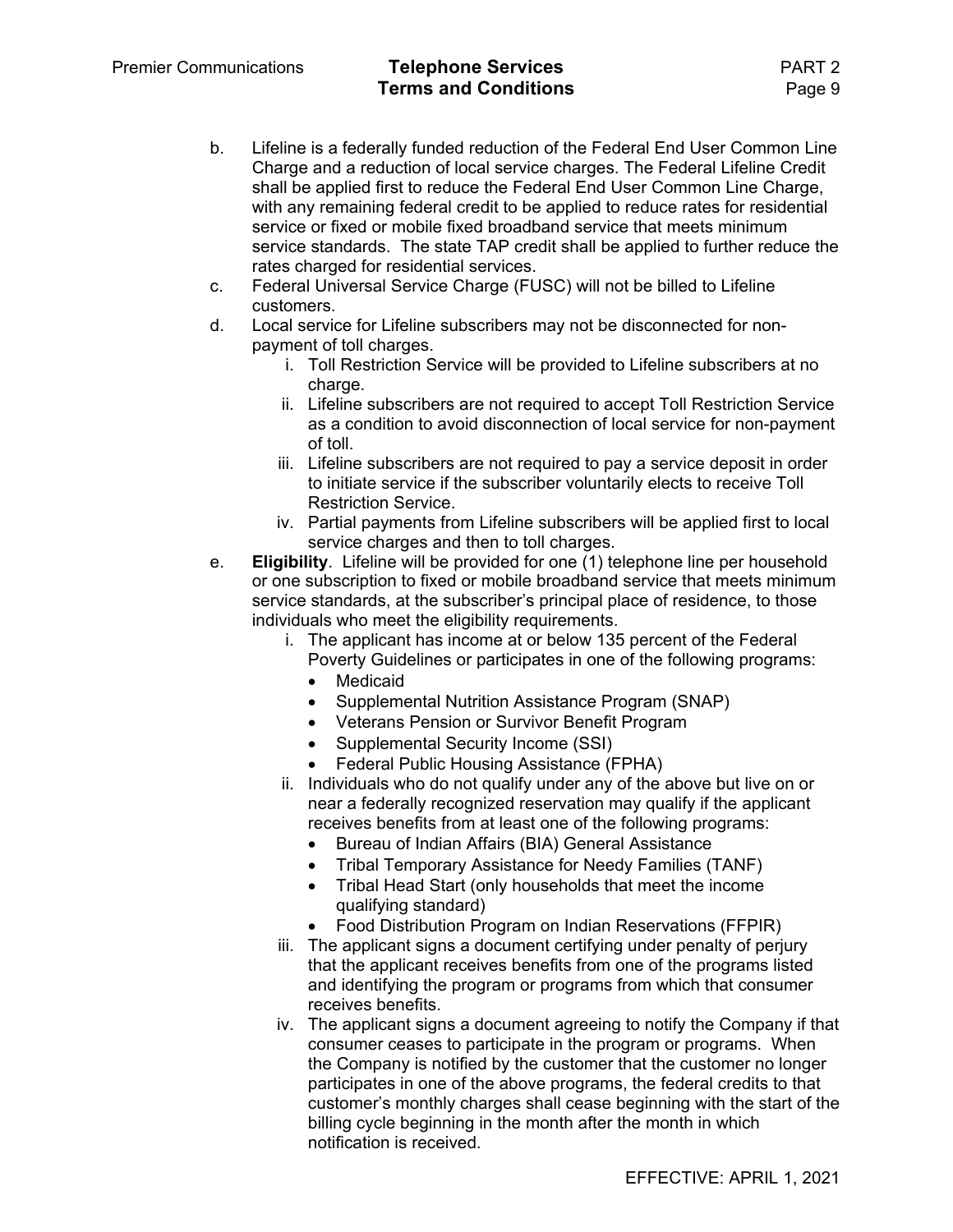Premier Communications **Telephone Services** PART 2 **Terms and Conditions Page 9** 

- b. Lifeline is a federally funded reduction of the Federal End User Common Line Charge and a reduction of local service charges. The Federal Lifeline Credit shall be applied first to reduce the Federal End User Common Line Charge, with any remaining federal credit to be applied to reduce rates for residential service or fixed or mobile fixed broadband service that meets minimum service standards. The state TAP credit shall be applied to further reduce the rates charged for residential services.
- c. Federal Universal Service Charge (FUSC) will not be billed to Lifeline customers.
- d. Local service for Lifeline subscribers may not be disconnected for nonpayment of toll charges.
	- i. Toll Restriction Service will be provided to Lifeline subscribers at no charge.
	- ii. Lifeline subscribers are not required to accept Toll Restriction Service as a condition to avoid disconnection of local service for non-payment of toll.
	- iii. Lifeline subscribers are not required to pay a service deposit in order to initiate service if the subscriber voluntarily elects to receive Toll Restriction Service.
	- iv. Partial payments from Lifeline subscribers will be applied first to local service charges and then to toll charges.
- e. **Eligibility**. Lifeline will be provided for one (1) telephone line per household or one subscription to fixed or mobile broadband service that meets minimum service standards, at the subscriber's principal place of residence, to those individuals who meet the eligibility requirements.
	- i. The applicant has income at or below 135 percent of the Federal Poverty Guidelines or participates in one of the following programs:
		- Medicaid
		- Supplemental Nutrition Assistance Program (SNAP)
		- Veterans Pension or Survivor Benefit Program
		- Supplemental Security Income (SSI)
		- Federal Public Housing Assistance (FPHA)
	- ii. Individuals who do not qualify under any of the above but live on or near a federally recognized reservation may qualify if the applicant receives benefits from at least one of the following programs:
		- Bureau of Indian Affairs (BIA) General Assistance
		- Tribal Temporary Assistance for Needy Families (TANF)
		- Tribal Head Start (only households that meet the income qualifying standard)
		- Food Distribution Program on Indian Reservations (FFPIR)
	- iii. The applicant signs a document certifying under penalty of perjury that the applicant receives benefits from one of the programs listed and identifying the program or programs from which that consumer receives benefits.
	- iv. The applicant signs a document agreeing to notify the Company if that consumer ceases to participate in the program or programs. When the Company is notified by the customer that the customer no longer participates in one of the above programs, the federal credits to that customer's monthly charges shall cease beginning with the start of the billing cycle beginning in the month after the month in which notification is received.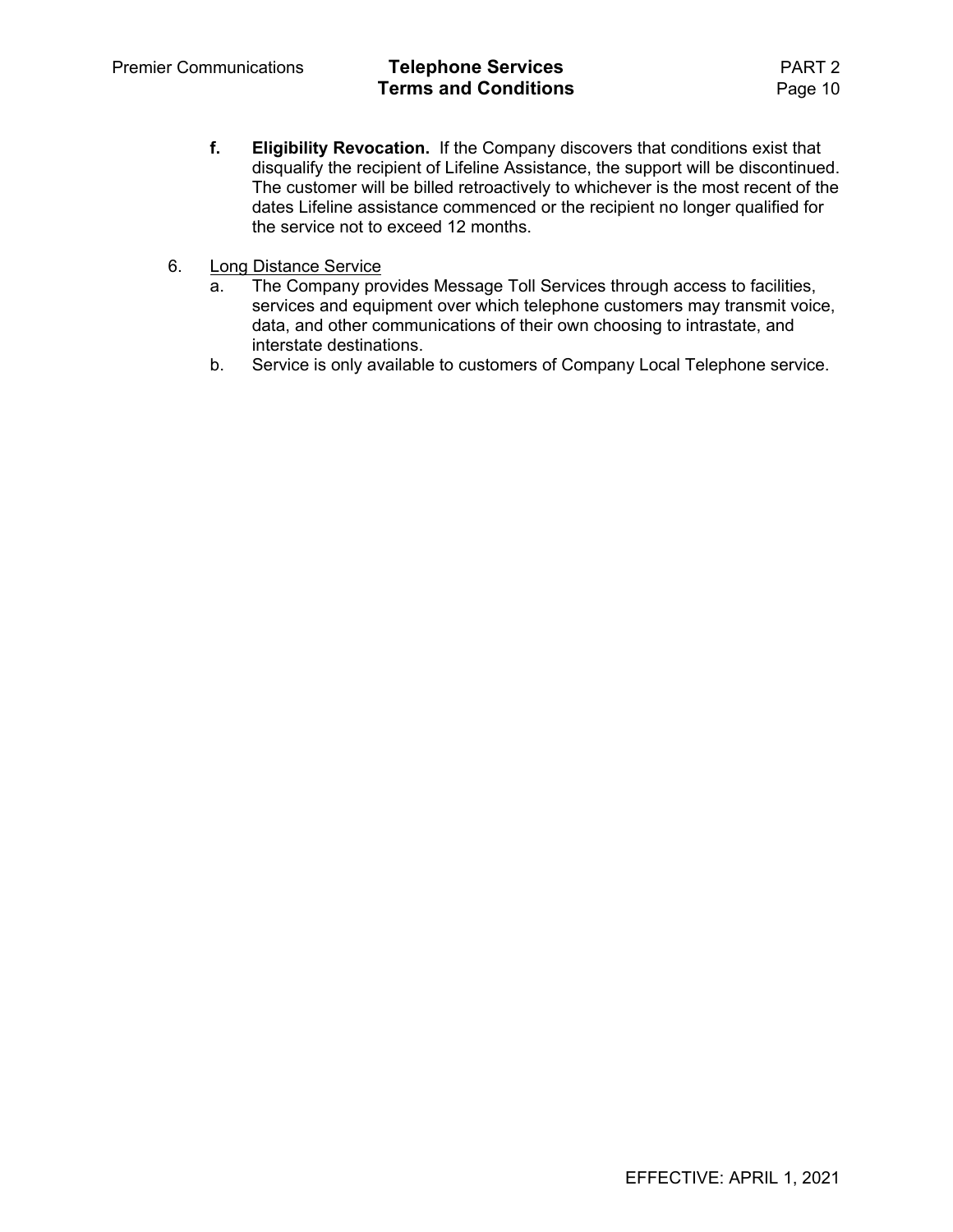- **f. Eligibility Revocation.** If the Company discovers that conditions exist that disqualify the recipient of Lifeline Assistance, the support will be discontinued. The customer will be billed retroactively to whichever is the most recent of the dates Lifeline assistance commenced or the recipient no longer qualified for the service not to exceed 12 months.
- 6. Long Distance Service
	- a. The Company provides Message Toll Services through access to facilities, services and equipment over which telephone customers may transmit voice, data, and other communications of their own choosing to intrastate, and interstate destinations.
	- b. Service is only available to customers of Company Local Telephone service.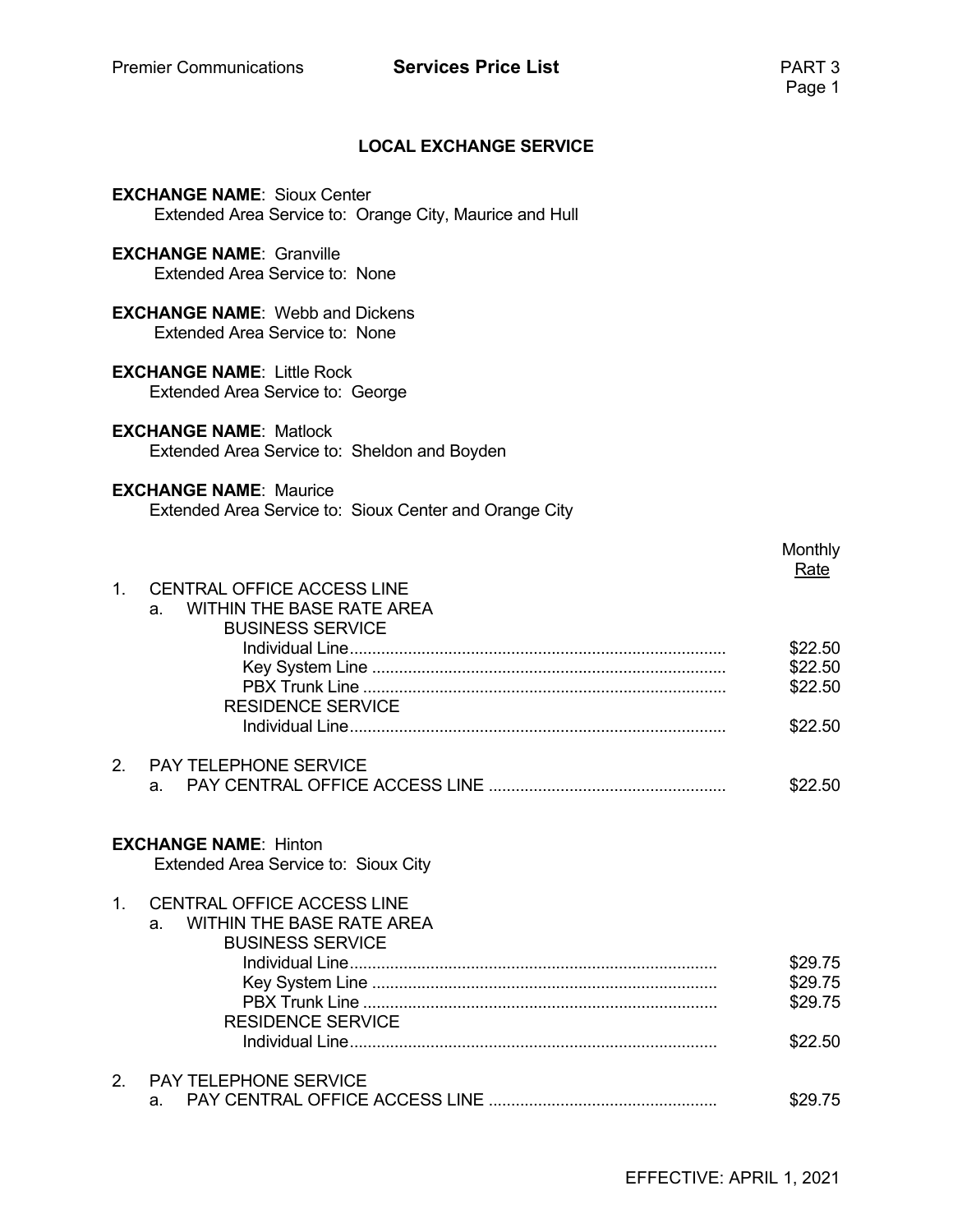# Premier Communications **Services Price List Price 1 PART 3**<br>Page 1

#### **LOCAL EXCHANGE SERVICE**

|                | <b>EXCHANGE NAME: Sioux Center</b><br>Extended Area Service to: Orange City, Maurice and Hull               |                    |
|----------------|-------------------------------------------------------------------------------------------------------------|--------------------|
|                | <b>EXCHANGE NAME: Granville</b><br>Extended Area Service to: None                                           |                    |
|                | <b>EXCHANGE NAME:</b> Webb and Dickens<br>Extended Area Service to: None                                    |                    |
|                | <b>EXCHANGE NAME: Little Rock</b><br>Extended Area Service to: George                                       |                    |
|                | <b>EXCHANGE NAME: Matlock</b><br>Extended Area Service to: Sheldon and Boyden                               |                    |
|                | <b>EXCHANGE NAME: Maurice</b><br>Extended Area Service to: Sioux Center and Orange City                     |                    |
|                |                                                                                                             | Monthly<br>Rate    |
| 1 <sup>1</sup> | <b>CENTRAL OFFICE ACCESS LINE</b><br><b>WITHIN THE BASE RATE AREA</b><br>$a_{-}$<br><b>BUSINESS SERVICE</b> |                    |
|                |                                                                                                             | \$22.50<br>\$22.50 |
|                | <b>RESIDENCE SERVICE</b>                                                                                    | \$22.50            |
|                |                                                                                                             | \$22.50            |
| 2.             | <b>PAY TELEPHONE SERVICE</b><br>a.                                                                          | \$22.50            |
|                | <b>EXCHANGE NAME: Hinton</b><br>Extended Area Service to: Sioux City                                        |                    |
| $1_{-}$        | <b>CENTRAL OFFICE ACCESS LINE</b><br><b>WITHIN THE BASE RATE AREA</b><br>a.<br><b>BUSINESS SERVICE</b>      |                    |
|                |                                                                                                             | \$29.75            |
|                |                                                                                                             | \$29.75<br>\$29.75 |
|                | <b>RESIDENCE SERVICE</b>                                                                                    | \$22.50            |
| 2.             | PAY TELEPHONE SERVICE                                                                                       |                    |
|                | a.                                                                                                          | \$29.75            |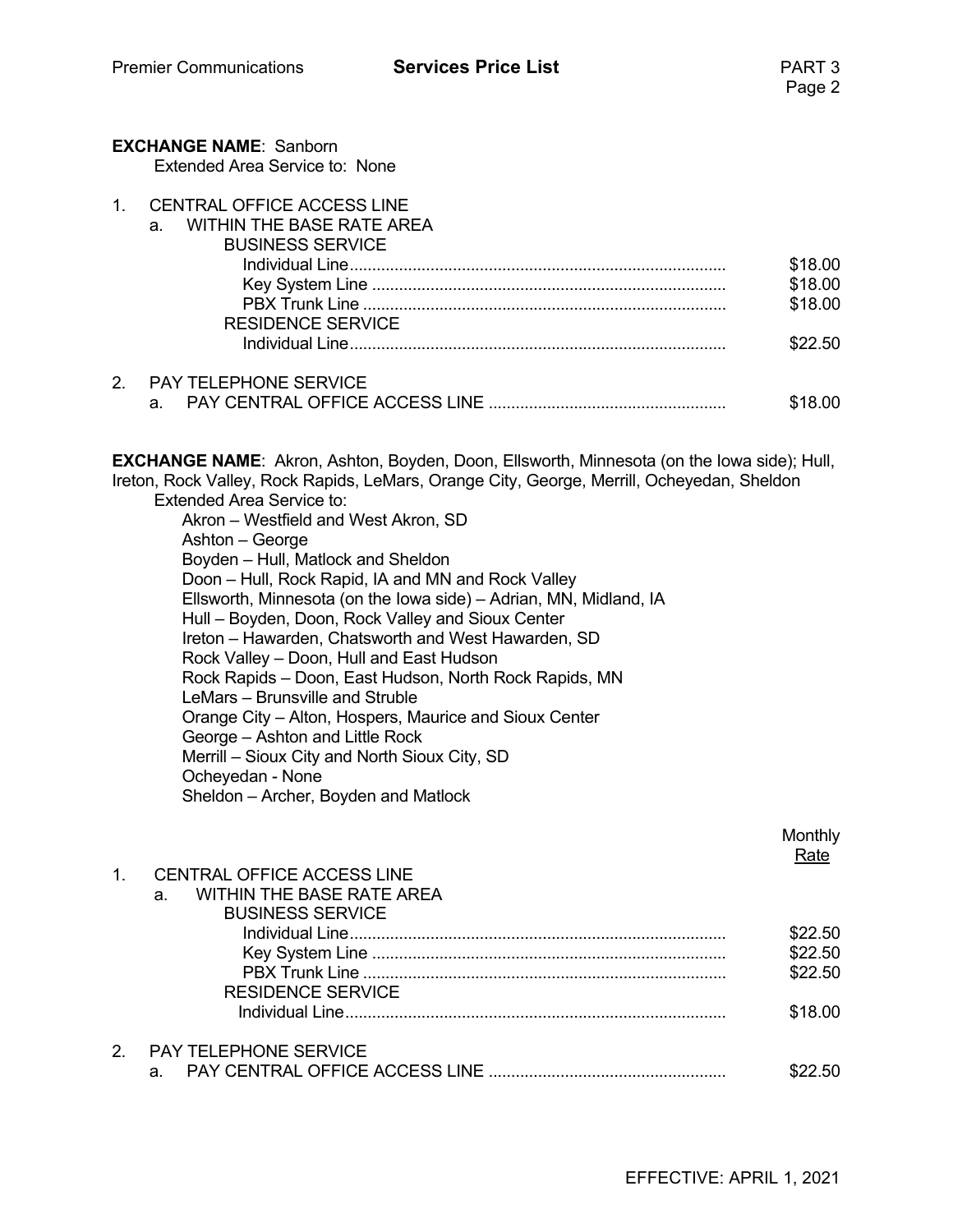|         | <b>EXCHANGE NAME: Sanborn</b><br>Extended Area Service to: None                                                                                                                                                                                                                                                                                                                                                                                                                                                                                                                                                                                                                                                                                                                                                                                                                                                                |                                          |
|---------|--------------------------------------------------------------------------------------------------------------------------------------------------------------------------------------------------------------------------------------------------------------------------------------------------------------------------------------------------------------------------------------------------------------------------------------------------------------------------------------------------------------------------------------------------------------------------------------------------------------------------------------------------------------------------------------------------------------------------------------------------------------------------------------------------------------------------------------------------------------------------------------------------------------------------------|------------------------------------------|
| $1_{-}$ | <b>CENTRAL OFFICE ACCESS LINE</b><br><b>WITHIN THE BASE RATE AREA</b><br>a.<br><b>BUSINESS SERVICE</b><br><b>RESIDENCE SERVICE</b>                                                                                                                                                                                                                                                                                                                                                                                                                                                                                                                                                                                                                                                                                                                                                                                             | \$18.00<br>\$18.00<br>\$18.00<br>\$22.50 |
| 2.      | PAY TELEPHONE SERVICE<br>a.                                                                                                                                                                                                                                                                                                                                                                                                                                                                                                                                                                                                                                                                                                                                                                                                                                                                                                    | \$18.00                                  |
|         | <b>EXCHANGE NAME:</b> Akron, Ashton, Boyden, Doon, Ellsworth, Minnesota (on the lowa side); Hull,<br>Ireton, Rock Valley, Rock Rapids, LeMars, Orange City, George, Merrill, Ocheyedan, Sheldon<br><b>Extended Area Service to:</b><br>Akron – Westfield and West Akron, SD<br>Ashton - George<br>Boyden - Hull, Matlock and Sheldon<br>Doon - Hull, Rock Rapid, IA and MN and Rock Valley<br>Ellsworth, Minnesota (on the Iowa side) – Adrian, MN, Midland, IA<br>Hull - Boyden, Doon, Rock Valley and Sioux Center<br>Ireton - Hawarden, Chatsworth and West Hawarden, SD<br>Rock Valley - Doon, Hull and East Hudson<br>Rock Rapids - Doon, East Hudson, North Rock Rapids, MN<br>LeMars - Brunsville and Struble<br>Orange City - Alton, Hospers, Maurice and Sioux Center<br>George - Ashton and Little Rock<br>Merrill - Sioux City and North Sioux City, SD<br>Ocheyedan - None<br>Sheldon - Archer, Boyden and Matlock |                                          |
| $1_{-}$ | <b>CENTRAL OFFICE ACCESS LINE</b>                                                                                                                                                                                                                                                                                                                                                                                                                                                                                                                                                                                                                                                                                                                                                                                                                                                                                              | Monthly<br><b>Rate</b>                   |
|         | <b>WITHIN THE BASE RATE AREA</b><br>a.<br><b>BUSINESS SERVICE</b><br><b>RESIDENCE SERVICE</b>                                                                                                                                                                                                                                                                                                                                                                                                                                                                                                                                                                                                                                                                                                                                                                                                                                  | \$22.50<br>\$22.50<br>\$22.50<br>\$18.00 |
| 2.      | PAY TELEPHONE SERVICE<br>a.                                                                                                                                                                                                                                                                                                                                                                                                                                                                                                                                                                                                                                                                                                                                                                                                                                                                                                    | \$22.50                                  |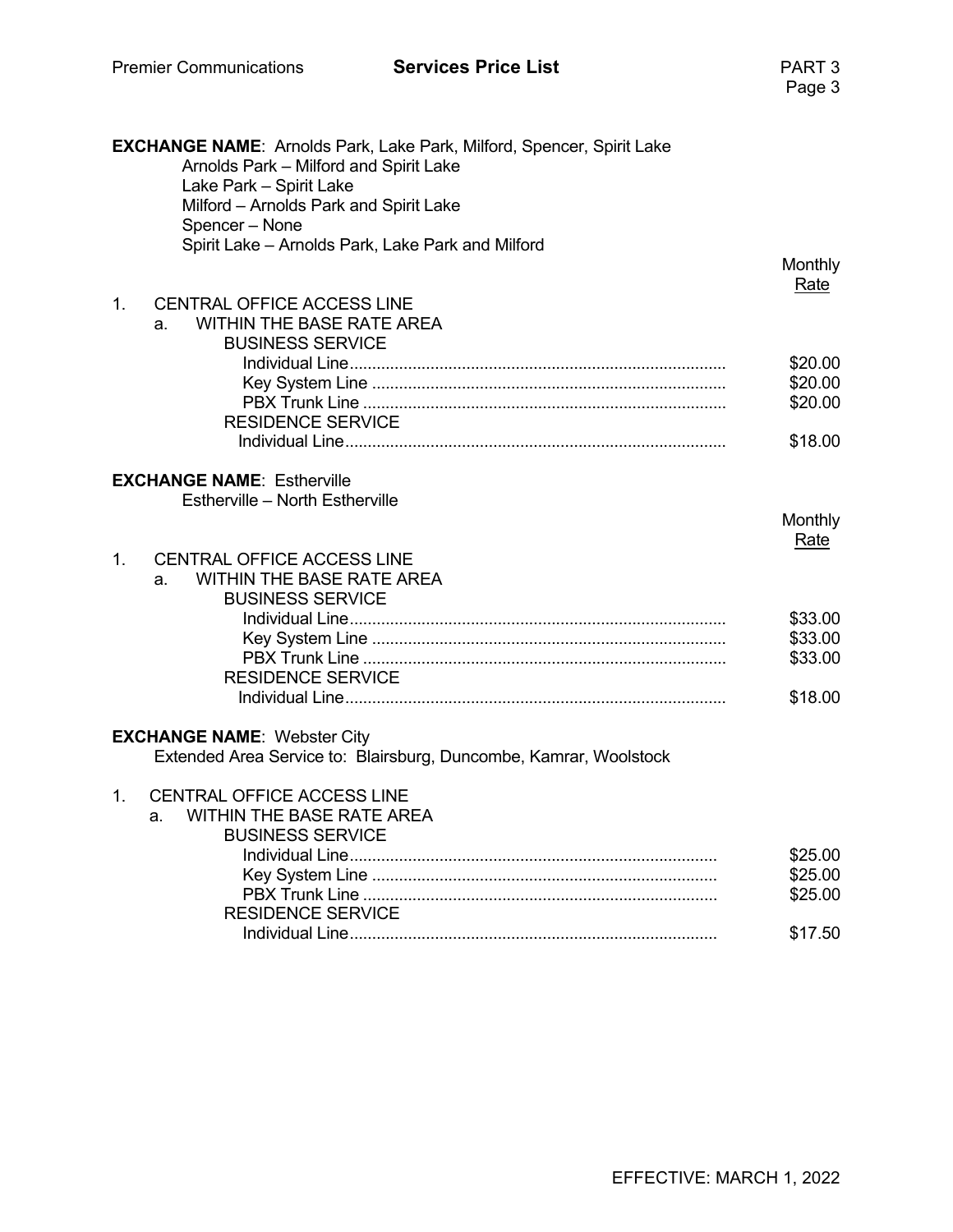|                | <b>EXCHANGE NAME:</b> Arnolds Park, Lake Park, Milford, Spencer, Spirit Lake<br>Arnolds Park - Milford and Spirit Lake<br>Lake Park - Spirit Lake<br>Milford - Arnolds Park and Spirit Lake<br>Spencer - None |                               |
|----------------|---------------------------------------------------------------------------------------------------------------------------------------------------------------------------------------------------------------|-------------------------------|
|                | Spirit Lake - Arnolds Park, Lake Park and Milford                                                                                                                                                             | Monthly<br><b>Rate</b>        |
| $\mathbf{1}$ . | <b>CENTRAL OFFICE ACCESS LINE</b><br><b>WITHIN THE BASE RATE AREA</b><br>a.<br><b>BUSINESS SERVICE</b>                                                                                                        |                               |
|                |                                                                                                                                                                                                               | \$20.00<br>\$20.00<br>\$20.00 |
|                | <b>RESIDENCE SERVICE</b>                                                                                                                                                                                      | \$18.00                       |
|                | <b>EXCHANGE NAME: Estherville</b><br>Estherville - North Estherville                                                                                                                                          |                               |
|                |                                                                                                                                                                                                               | Monthly<br>Rate               |
| $\mathbf{1}$ . | <b>CENTRAL OFFICE ACCESS LINE</b><br><b>WITHIN THE BASE RATE AREA</b><br>a.<br><b>BUSINESS SERVICE</b>                                                                                                        |                               |
|                | <b>RESIDENCE SERVICE</b>                                                                                                                                                                                      | \$33.00<br>\$33.00<br>\$33.00 |
|                |                                                                                                                                                                                                               | \$18.00                       |
|                | <b>EXCHANGE NAME: Webster City</b><br>Extended Area Service to: Blairsburg, Duncombe, Kamrar, Woolstock                                                                                                       |                               |
| $1_{-}$        | <b>CENTRAL OFFICE ACCESS LINE</b><br><b>WITHIN THE BASE RATE AREA</b><br>a.<br><b>BUSINESS SERVICE</b>                                                                                                        |                               |
|                |                                                                                                                                                                                                               | \$25.00<br>\$25.00            |
|                | <b>RESIDENCE SERVICE</b>                                                                                                                                                                                      | \$25.00                       |
|                |                                                                                                                                                                                                               | \$17.50                       |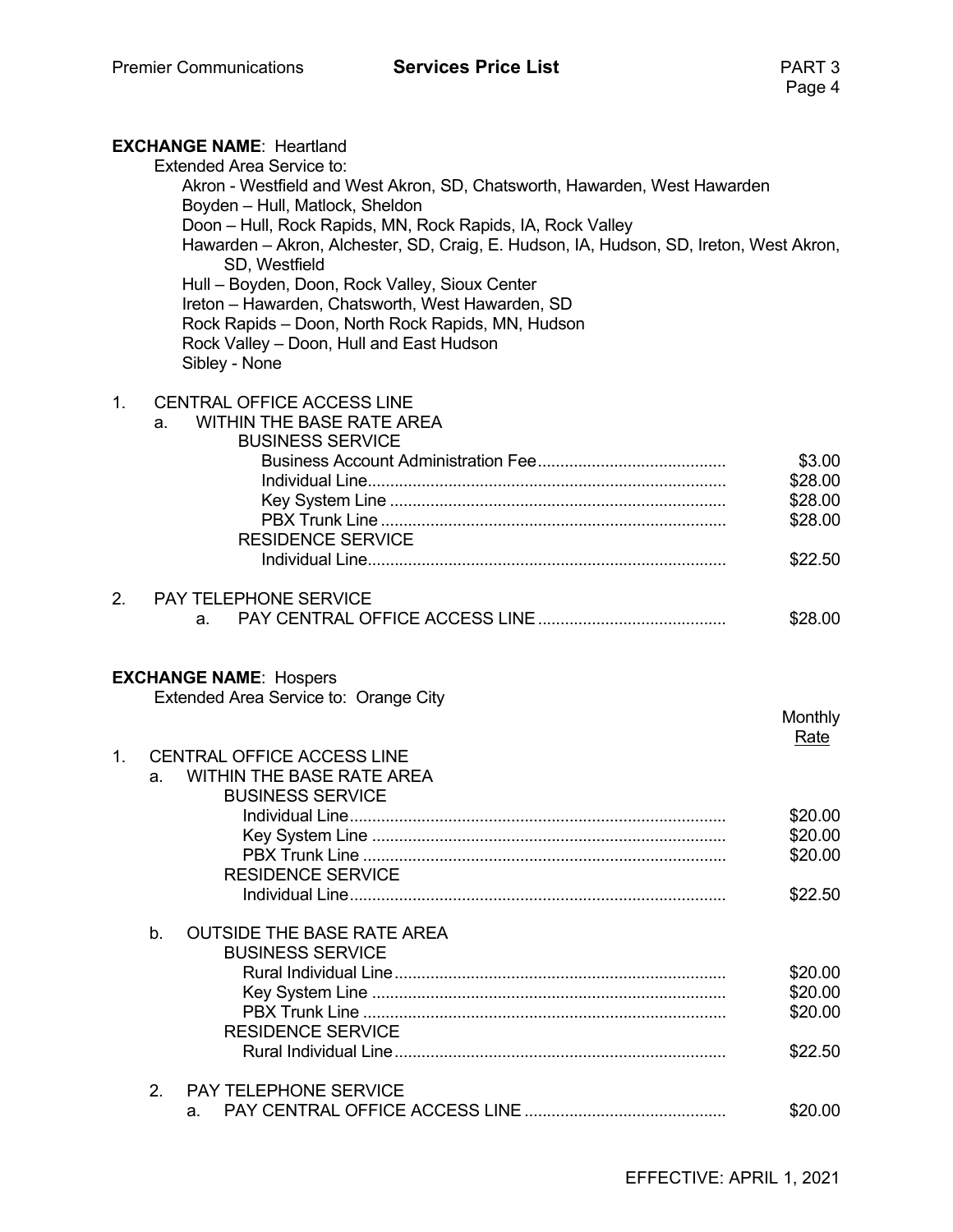# Premier Communications **Services Price List PART 3**<br>Page 4

|         | <b>EXCHANGE NAME: Heartland</b><br><b>Extended Area Service to:</b><br>Akron - Westfield and West Akron, SD, Chatsworth, Hawarden, West Hawarden<br>Boyden - Hull, Matlock, Sheldon<br>Doon - Hull, Rock Rapids, MN, Rock Rapids, IA, Rock Valley<br>Hawarden - Akron, Alchester, SD, Craig, E. Hudson, IA, Hudson, SD, Ireton, West Akron,<br>SD, Westfield<br>Hull - Boyden, Doon, Rock Valley, Sioux Center<br>Ireton - Hawarden, Chatsworth, West Hawarden, SD<br>Rock Rapids - Doon, North Rock Rapids, MN, Hudson<br>Rock Valley - Doon, Hull and East Hudson<br>Sibley - None |                                                    |
|---------|--------------------------------------------------------------------------------------------------------------------------------------------------------------------------------------------------------------------------------------------------------------------------------------------------------------------------------------------------------------------------------------------------------------------------------------------------------------------------------------------------------------------------------------------------------------------------------------|----------------------------------------------------|
| $1_{-}$ | <b>CENTRAL OFFICE ACCESS LINE</b><br><b>WITHIN THE BASE RATE AREA</b><br>a.<br><b>BUSINESS SERVICE</b><br><b>RESIDENCE SERVICE</b>                                                                                                                                                                                                                                                                                                                                                                                                                                                   | \$3.00<br>\$28.00<br>\$28.00<br>\$28.00<br>\$22.50 |
| 2.      | <b>PAY TELEPHONE SERVICE</b><br>a.                                                                                                                                                                                                                                                                                                                                                                                                                                                                                                                                                   | \$28.00                                            |
|         | <b>EXCHANGE NAME: Hospers</b><br>Extended Area Service to: Orange City                                                                                                                                                                                                                                                                                                                                                                                                                                                                                                               | Monthly<br>Rate                                    |
| 1.      | <b>CENTRAL OFFICE ACCESS LINE</b><br><b>WITHIN THE BASE RATE AREA</b><br>a.<br><b>BUSINESS SERVICE</b><br><b>RESIDENCE SERVICE</b>                                                                                                                                                                                                                                                                                                                                                                                                                                                   | \$20.00<br>\$20.00<br>\$20.00                      |
|         | <b>OUTSIDE THE BASE RATE AREA</b><br>b.                                                                                                                                                                                                                                                                                                                                                                                                                                                                                                                                              | \$22.50                                            |
|         | <b>BUSINESS SERVICE</b><br><b>RESIDENCE SERVICE</b>                                                                                                                                                                                                                                                                                                                                                                                                                                                                                                                                  | \$20.00<br>\$20.00<br>\$20.00<br>\$22.50           |
|         | <b>PAY TELEPHONE SERVICE</b><br>2.<br>a.                                                                                                                                                                                                                                                                                                                                                                                                                                                                                                                                             | \$20.00                                            |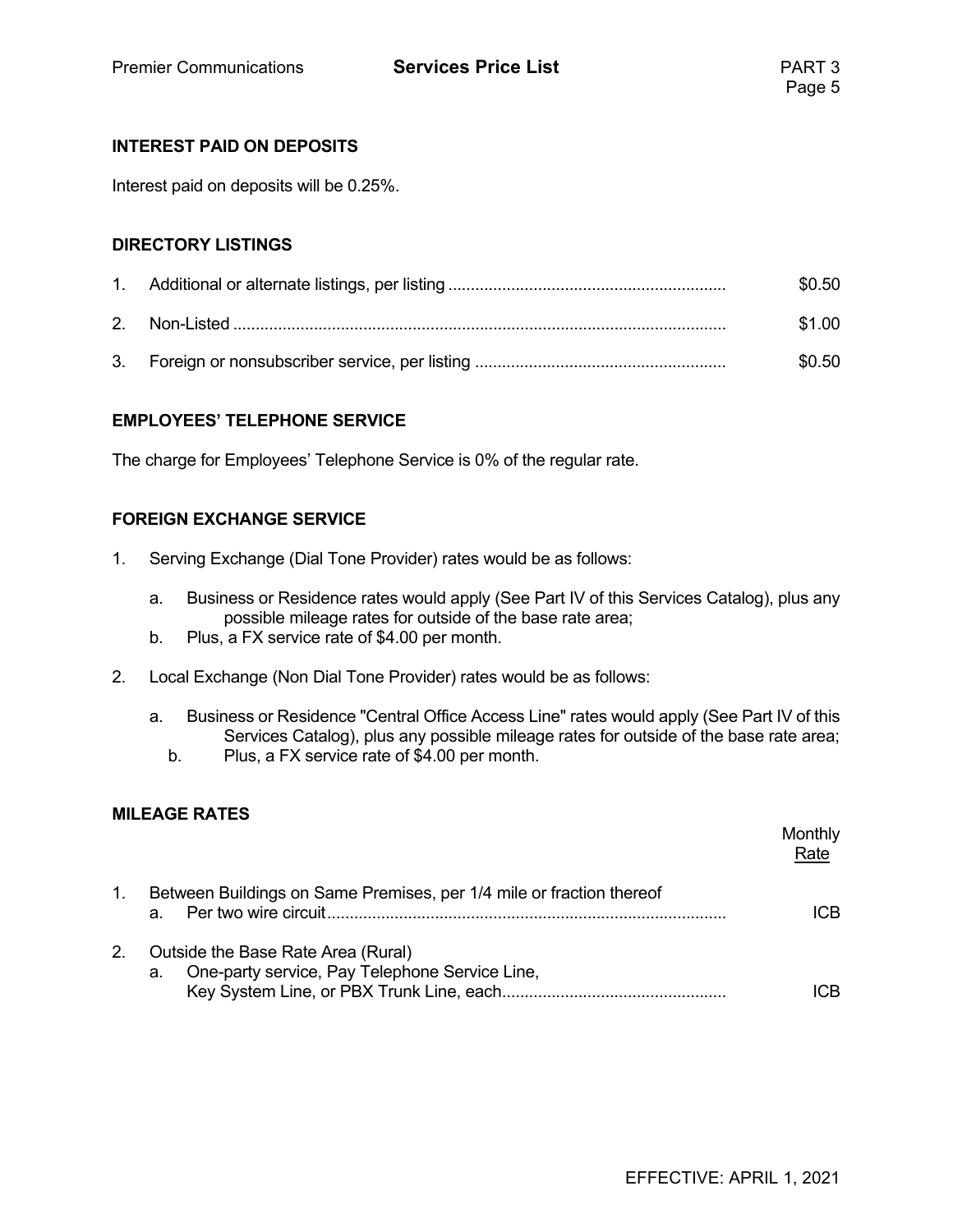#### **INTEREST PAID ON DEPOSITS**

Interest paid on deposits will be 0.25%.

#### **DIRECTORY LISTINGS**

|  | \$0.50 |
|--|--------|
|  | \$1.00 |
|  | \$0.50 |

#### **EMPLOYEES' TELEPHONE SERVICE**

The charge for Employees' Telephone Service is 0% of the regular rate.

#### **FOREIGN EXCHANGE SERVICE**

- 1. Serving Exchange (Dial Tone Provider) rates would be as follows:
	- a. Business or Residence rates would apply (See Part IV of this Services Catalog), plus any possible mileage rates for outside of the base rate area;
	- b. Plus, a FX service rate of \$4.00 per month.
- 2. Local Exchange (Non Dial Tone Provider) rates would be as follows:
	- a. Business or Residence "Central Office Access Line" rates would apply (See Part IV of this Services Catalog), plus any possible mileage rates for outside of the base rate area;
		- b. Plus, a FX service rate of \$4.00 per month.

#### **MILEAGE RATES**

|    |                                                                                            | Monthly<br>Rate |
|----|--------------------------------------------------------------------------------------------|-----------------|
| 1. | Between Buildings on Same Premises, per 1/4 mile or fraction thereof<br>a.                 | ICB             |
| 2. | Outside the Base Rate Area (Rural)<br>One-party service, Pay Telephone Service Line,<br>а. | ICB             |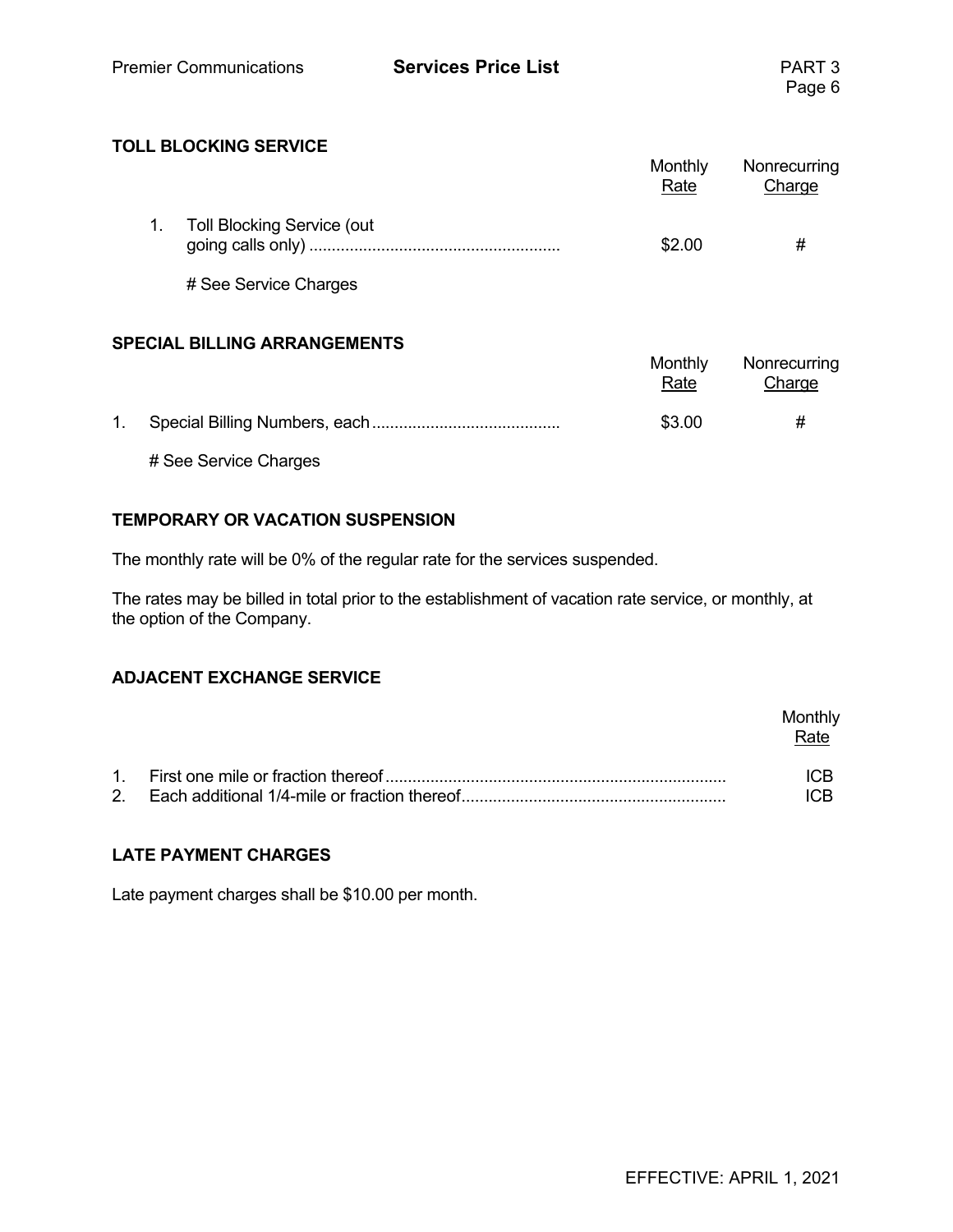#### **TOLL BLOCKING SERVICE**

|                                   | Monthly<br>Rate | Nonrecurring<br>Charge |
|-----------------------------------|-----------------|------------------------|
| <b>Toll Blocking Service (out</b> | \$2.00          | #                      |
| # See Service Charges             |                 |                        |

#### **SPECIAL BILLING ARRANGEMENTS**

|    |                       | Monthly<br>Rate | Nonrecurring<br>Charge |
|----|-----------------------|-----------------|------------------------|
| 1. |                       | \$3.00          | #                      |
|    | # See Service Charges |                 |                        |

#### **TEMPORARY OR VACATION SUSPENSION**

The monthly rate will be 0% of the regular rate for the services suspended.

The rates may be billed in total prior to the establishment of vacation rate service, or monthly, at the option of the Company.

#### **ADJACENT EXCHANGE SERVICE**

|  | Monthly<br>Rate |
|--|-----------------|
|  | ICB             |

#### **LATE PAYMENT CHARGES**

Late payment charges shall be \$10.00 per month.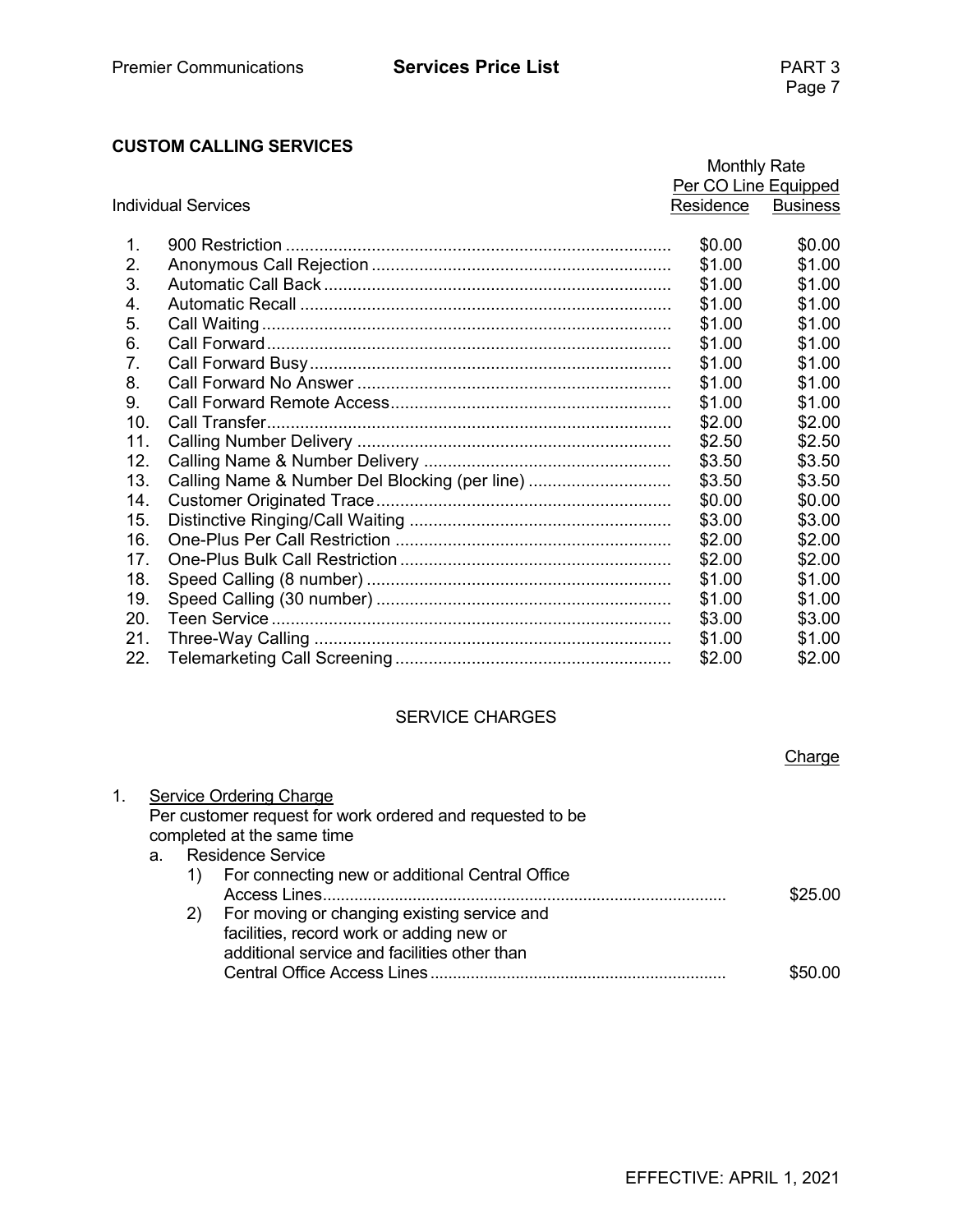#### **CUSTOM CALLING SERVICES**

|                 |                                               | <b>Monthly Rate</b>  |                 |
|-----------------|-----------------------------------------------|----------------------|-----------------|
|                 |                                               | Per CO Line Equipped |                 |
|                 | <b>Individual Services</b><br>Residence       |                      | <b>Business</b> |
|                 |                                               |                      |                 |
| $\mathbf 1$     |                                               | \$0.00               | \$0.00          |
| 2.              |                                               | \$1.00               | \$1.00          |
| 3.              |                                               | \$1.00               | \$1.00          |
| 4.              |                                               | \$1.00               | \$1.00          |
| 5.              |                                               | \$1.00               | \$1.00          |
| 6.              |                                               | \$1.00               | \$1.00          |
| 7.              |                                               | \$1.00               | \$1.00          |
| 8.              |                                               | \$1.00               | \$1.00          |
| 9.              |                                               | \$1.00               | \$1.00          |
| 10.             |                                               | \$2.00               | \$2.00          |
| 11.             |                                               | \$2.50               | \$2.50          |
| 12.             |                                               | \$3.50               | \$3.50          |
| 13.             | Calling Name & Number Del Blocking (per line) | \$3.50               | \$3.50          |
| 14.             |                                               | \$0.00               | \$0.00          |
| 15.             |                                               | \$3.00               | \$3.00          |
| 16.             |                                               | \$2.00               | \$2.00          |
| 17 <sub>1</sub> |                                               | \$2.00               | \$2.00          |
| 18.             |                                               | \$1.00               | \$1.00          |
| 19.             |                                               | \$1.00               | \$1.00          |
| 20.             |                                               | \$3.00               | \$3.00          |
| 21.             |                                               | \$1.00               | \$1.00          |
| 22.             |                                               | \$2.00               | \$2.00          |

#### SERVICE CHARGES

|    |         |    |                                                           | Charge  |
|----|---------|----|-----------------------------------------------------------|---------|
| 1. |         |    | <b>Service Ordering Charge</b>                            |         |
|    |         |    | Per customer request for work ordered and requested to be |         |
|    |         |    | completed at the same time                                |         |
|    | $a_{-}$ |    | <b>Residence Service</b>                                  |         |
|    |         |    | For connecting new or additional Central Office           |         |
|    |         |    |                                                           | \$25.00 |
|    |         | 2) | For moving or changing existing service and               |         |
|    |         |    | facilities, record work or adding new or                  |         |
|    |         |    | additional service and facilities other than              |         |
|    |         |    |                                                           |         |